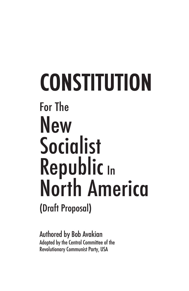# **CONSTITUTION** For The **New** Socialist Republic In North America (Draft Proposal)

Authored by Bob Avakian Adopted by the Central Committee of the Revolutionary Communist Party, USA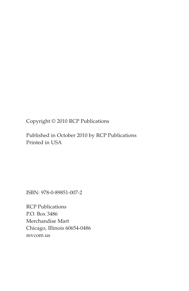Copyright © 2010 RCP Publications

Published in October 2010 by RCP Publications Printed in USA

ISBN: 978-0-89851-007-2

RCP Publications P.O. Box 3486 Merchandise Mart Chicago, Illinois 60654-0486 revcom.us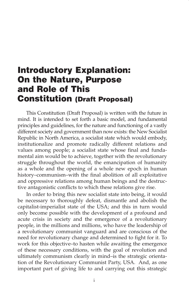### Introductory Explanation: On the Nature, Purpose and Role of This Constitution (Draft Proposal)

This Constitution (Draft Proposal) is written with the future in mind. It is intended to set forth a basic model, and fundamental principles and guidelines, for the nature and functioning of a vastly different society and government than now exists: the New Socialist Republic in North America, a socialist state which would embody, institutionalize and promote radically different relations and values among people; a socialist state whose final and fundamental aim would be to achieve, together with the revolutionary struggle throughout the world, the emancipation of humanity as a whole and the opening of a whole new epoch in human history–communism–with the final abolition of all exploitative and oppressive relations among human beings and the destructive antagonistic conflicts to which these relations give rise.

In order to bring this new socialist state into being, it would be necessary to thoroughly defeat, dismantle and abolish the capitalist-imperialist state of the USA; and this in turn would only become possible with the development of a profound and acute crisis in society and the emergence of a revolutionary people, in the millions and millions, who have the leadership of a revolutionary communist vanguard and are conscious of the need for revolutionary change and determined to fight for it. To work for this objective–to hasten while awaiting the emergence of these necessary conditions, with the goal of revolution and ultimately communism clearly in mind–is the strategic orientation of the Revolutionary Communist Party, USA. And, as one important part of giving life to and carrying out this strategic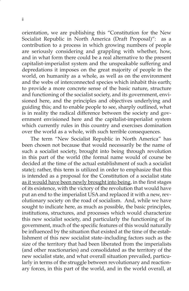orientation, we are publishing this "Constitution for the New Socialist Republic in North America (Draft Proposal)": as a contribution to a process in which growing numbers of people are seriously considering and grappling with whether, how, and in what form there could be a real alternative to the present capitalist-imperialist system and the unspeakable suffering and depredations it imposes on the great majority of people in the world, on humanity as a whole, as well as on the environment and the webs of interconnected species which inhabit this earth; to provide a more concrete sense of the basic nature, structure and functioning of the socialist society, and its government, envisioned here, and the principles and objectives underlying and guiding this; and to enable people to see, sharply outlined, what is in reality the radical difference between the society and government envisioned here and the capitalist-imperialist system which currently rules in this country and exercises domination over the world as a whole, with such terrible consequences.

The term "New Socialist Republic in North America" has been chosen not because that would necessarily be the name of such a socialist society, brought into being through revolution in this part of the world (the formal name would of course be decided at the time of the actual establishment of such a socialist state); rather, this term is utilized in order to emphasize that this is intended as a proposal for the Constitution of a socialist state as it would have been newly brought into being, in the first stages of its existence, with the victory of the revolution that would have put an end to the imperialist USA and replaced it with a new, revolutionary society on the road of socialism. And, while we have sought to indicate here, as much as possible, the basic principles, institutions, structures, and processes which would characterize this new socialist society, and particularly the functioning of its government, much of the specific features of this would naturally be influenced by the situation that existed at the time of the establishment of this new socialist state–including factors such as the size of the territory that had been liberated from the imperialists (and other reactionaries) and consolidated as the territory of the new socialist state, and what overall situation prevailed, particularly in terms of the struggle between revolutionary and reactionary forces, in this part of the world, and in the world overall, at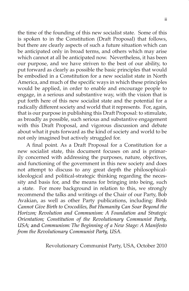the time of the founding of this new socialist state. Some of this is spoken to in the Constitution (Draft Proposal) that follows, but there are clearly aspects of such a future situation which can be anticipated only in broad terms, and others which may arise which cannot at all be anticipated now. Nevertheless, it has been our purpose, and we have striven to the best of our ability, to put forward as clearly as possible the basic principles that would be embodied in a Constitution for a new socialist state in North America, and much of the specific ways in which these principles would be applied, in order to enable and encourage people to engage, in a serious and substantive way, with the vision that is put forth here of this new socialist state and the potential for a radically different society and world that it represents. For, again, that is our purpose in publishing this Draft Proposal: to stimulate, as broadly as possible, such serious and substantive engagement with this Draft Proposal, and vigorous discussion and debate about what it puts forward as the kind of society and world to be not only imagined but actively struggled for.

A final point. As a Draft Proposal for a Constitution for a new socialist state, this document focuses on and is primarily concerned with addressing the purposes, nature, objectives, and functioning of the government in this new society and does not attempt to discuss to any great depth the philosophicalideological and political-strategic thinking regarding the necessity and basis for, and the means for bringing into being, such a state. For more background in relation to this, we strongly recommend the talks and writings of the Chair of our Party, Bob Avakian, as well as other Party publications, including: *Birds Cannot Give Birth to Crocodiles, But Humanity Can Soar Beyond the Horizon; Revolution and Communism: A Foundation and Strategic Orientation; Constitution of the Revolutionary Communist Party, USA;* and *Communism: The Beginning of a New Stage: A Manifesto from the Revolutionary Communist Party, USA*.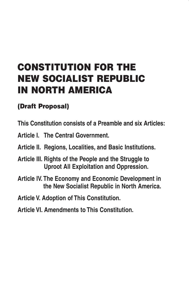## CONSTITUTION FOR THE NEW SOCIALIST REPUBLIC IN NORTH AMERICA

#### (Draft Proposal)

**This Constitution consists of a Preamble and six Articles:**

- **Article I. The Central Government.**
- **Article II. Regions, Localities, and Basic Institutions.**
- **Article III. Rights of the People and the Struggle to Uproot All Exploitation and Oppression.**
- **Article IV. The Economy and Economic Development in the New Socialist Republic in North America.**
- **Article V. Adoption of This Constitution.**
- **Article VI. Amendments to This Constitution.**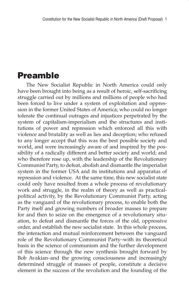#### Preamble

The New Socialist Republic in North America could only have been brought into being as a result of heroic, self-sacrificing struggle carried out by millions and millions of people who had been forced to live under a system of exploitation and oppression in the former United States of America; who could no longer tolerate the continual outrages and injustices perpetrated by the system of capitalism-imperialism and the structures and institutions of power and repression which enforced all this with violence and brutality as well as lies and deception; who refused to any longer accept that this was the best possible society and world, and were increasingly aware of and inspired by the possibility of a radically different and better society and world; and who therefore rose up, with the leadership of the Revolutionary Communist Party, to defeat, abolish and dismantle the imperialist system in the former USA and its institutions and apparatus of repression and violence. At the same time, this new socialist state could only have resulted from a whole process of revolutionary work and struggle, in the realm of theory as well as practicalpolitical activity, by the Revolutionary Communist Party, acting as the vanguard of the revolutionary process, to enable both the Party itself and growing numbers of broader masses to prepare for and then to seize on the emergence of a revolutionary situation, to defeat and dismantle the forces of the old, oppressive order, and establish the new socialist state. In this whole process, the interaction and mutual reinforcement between the vanguard role of the Revolutionary Communist Party–with its theoretical basis in the science of communism and the further development of this science through the new synthesis brought forward by Bob Avakian–and the growing consciousness and increasingly determined struggle of masses of people, constitute a decisive element in the success of the revolution and the founding of the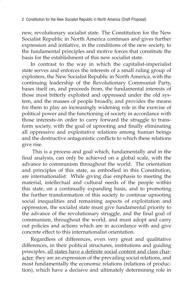new, revolutionary socialist state. The Constitution for the New Socialist Republic in North America continues and gives further expression and initiative, in the conditions of the new society, to the fundamental principles and motive forces that constitute the basis for the establishment of this new socialist state.

In contrast to the way in which the capitalist-imperialist state serves and enforces the interests of a small ruling group of exploiters, the New Socialist Republic in North America, with the continuing leadership of the Revolutionary Communist Party, bases itself on, and proceeds from, the fundamental interests of those most bitterly exploited and oppressed under the old system, and the masses of people broadly, and provides the means for them to play an increasingly widening role in the exercise of political power and the functioning of society in accordance with those interests–in order to carry forward the struggle to transform society, with the goal of uprooting and finally eliminating all oppressive and exploitative relations among human beings and the destructive antagonistic conflicts to which these relations give rise.

 This is a process and goal which, fundamentally and in the final analysis, can only be achieved on a global scale, with the advance to communism throughout the world. The orientation and principles of this state, as embodied in this Constitution, are internationalist: While giving due emphasis to meeting the material, intellectual and cultural needs of the people within this state, on a continually expanding basis, and to promoting the further transformation of this society to continue uprooting social inequalities and remaining aspects of exploitation and oppression, the socialist state must give fundamental priority to the advance of the revolutionary struggle, and the final goal of communism, throughout the world, and must adopt and carry out policies and actions which are in accordance with and give concrete effect to this internationalist orientation.

Regardless of differences, even very great and qualitative differences, in their political structures, institutions and guiding principles, all states have a definite social content and class character: they are an expression of the prevailing social relations, and most fundamentally the economic relations (relations of production), which have a decisive and ultimately determining role in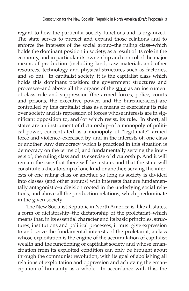regard to how the particular society functions and is organized. The state serves to protect and expand those relations and to enforce the interests of the social group–the ruling class–which holds the dominant position in society, as a result of its role in the economy, and in particular its ownership and control of the major means of production (including land, raw materials and other resources, technology and physical structures such as factories, and so on). In capitalist society, it is the capitalist class which holds this dominant position: the government structures and processes–and above all the organs of the state as an instrument of class rule and suppression (the armed forces, police, courts and prisons, the executive power, and the bureaucracies)–are controlled by this capitalist class as a means of exercising its rule over society and its repression of forces whose interests are in significant opposition to, and/or which resist, its rule. In short, all states are an instrument of dictatorship–of a monopoly of political power, concentrated as a monopoly of "legitimate" armed force and violence–exercised by, and in the interests of, one class or another. Any democracy which is practiced in this situation is democracy on the terms of, and fundamentally serving the interests of, the ruling class and its exercise of dictatorship. And it will remain the case that there will be a state, and that the state will constitute a dictatorship of one kind or another, serving the interests of one ruling class or another, so long as society is divided into classes (and other groups) with interests that are fundamentally antagonistic–a division rooted in the underlying social relations, and above all the production relations, which predominate in the given society.

The New Socialist Republic in North America is, like all states, a form of dictatorship–the dictatorship of the proletariat–which means that, in its essential character and its basic principles, structures, institutions and political processes, it must give expression to and serve the fundamental interests of the proletariat, a class whose exploitation is the engine of the accumulation of capitalist wealth and the functioning of capitalist society and whose emancipation from its exploited condition can only be brought about through the communist revolution, with its goal of abolishing all relations of exploitation and oppression and achieving the emancipation of humanity as a whole. In accordance with this, the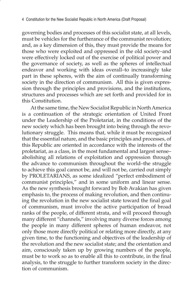governing bodies and processes of this socialist state, at all levels, must be vehicles for the furtherance of the communist revolution; and, as a key dimension of this, they must provide the means for those who were exploited and oppressed in the old society–and were effectively locked out of the exercise of political power and the governance of society, as well as the spheres of intellectual endeavor and working with ideas overall–to increasingly take part in these spheres, with the aim of continually transforming society in the direction of communism. All this is given expression through the principles and provisions, and the institutions, structures and processes which are set forth and provided for in this Constitution.

At the same time, the New Socialist Republic in North America is a continuation of the strategic orientation of United Front under the Leadership of the Proletariat, in the conditions of the new society which has been brought into being through the revolutionary struggle. This means that, while it must be recognized that the essential nature, and the basic principles and processes, of this Republic are oriented in accordance with the interests of the proletariat, as a class, in the most fundamental and largest sense– abolishing all relations of exploitation and oppression through the advance to communism throughout the world–the struggle to achieve this goal cannot be, and will not be, carried out simply by PROLETARIANS, as some idealized "perfect embodiment of communist principles," and in some uniform and linear sense. As the new synthesis brought forward by Bob Avakian has given emphasis to, the process of making revolution, and then continuing the revolution in the new socialist state toward the final goal of communism, must involve the active participation of broad ranks of the people, of different strata, and will proceed through many different "channels," involving many diverse forces among the people in many different spheres of human endeavor, not only those more directly political or relating more directly, at any given time, to the functioning and objectives of the leadership of the revolution and the new socialist state; and the orientation and aim, consciously taken up by growing numbers of the people, must be to work so as to enable all this to contribute, in the final analysis, to the struggle to further transform society in the direction of communism.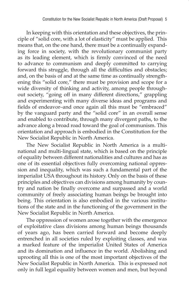In keeping with this orientation and these objectives, the principle of "solid core, with a lot of elasticity" must be applied. This means that, on the one hand, there must be a continually expanding force in society, with the revolutionary communist party as its leading element, which is firmly convinced of the need to advance to communism and deeply committed to carrying forward this struggle, through all the difficulties and obstacles; and, on the basis of and at the same time as continually strengthening this "solid core," there must be provision and scope for a wide diversity of thinking and activity, among people throughout society, "going off in many different directions," grappling and experimenting with many diverse ideas and programs and fields of endeavor–and once again all this must be "embraced" by the vanguard party and the "solid core" in an overall sense and enabled to contribute, through many divergent paths, to the advance along a broad road toward the goal of communism. This orientation and approach is embodied in the Constitution for the New Socialist Republic in North America.

The New Socialist Republic in North America is a multinational and multi-lingual state, which is based on the principle of equality between different nationalities and cultures and has as one of its essential objectives fully overcoming national oppression and inequality, which was such a fundamental part of the imperialist USA throughout its history. Only on the basis of these principles and objectives can divisions among humanity by country and nation be finally overcome and surpassed and a world community of freely associating human beings be brought into being. This orientation is also embodied in the various institutions of the state and in the functioning of the government in the New Socialist Republic in North America.

The oppression of women arose together with the emergence of exploitative class divisions among human beings thousands of years ago, has been carried forward and become deeply entrenched in all societies ruled by exploiting classes, and was a marked feature of the imperialist United States of America and its domination and influence in the world. Abolishing and uprooting all this is one of the most important objectives of the New Socialist Republic in North America. This is expressed not only in full legal equality between women and men, but beyond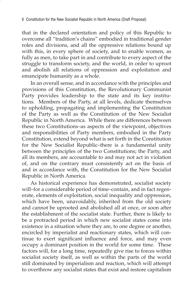that in the declared orientation and policy of this Republic to overcome all "tradition's chains" embodied in traditional gender roles and divisions, and all the oppressive relations bound up with this, in every sphere of society, and to enable women, as fully as men, to take part in and contribute to every aspect of the struggle to transform society, and the world, in order to uproot and abolish all relations of oppression and exploitation and emancipate humanity as a whole.

In an overall sense, and in accordance with the principles and provisions of this Constitution, the Revolutionary Communist Party provides leadership to the state and its key institutions. Members of the Party, at all levels, dedicate themselves to upholding, propagating and implementing the Constitution of the Party as well as the Constitution of the New Socialist Republic in North America. While there are differences between these two Constitutions–as aspects of the viewpoint, objectives and responsibilities of Party members, embodied in the Party Constitution, extend beyond what is set forth in the Constitution for the New Socialist Republic–there is a fundamental unity between the principles of the two Constitutions; the Party, and all its members, are accountable to and may not act in violation of, and on the contrary must consistently act on the basis of and in accordance with, the Constitution for the New Socialist Republic in North America.

As historical experience has demonstrated, socialist society will–for a considerable period of time–contain, and in fact regenerate, elements of exploitation, social inequality and oppression, which have been, unavoidably, inherited from the old society and cannot be uprooted and abolished all at once, or soon after the establishment of the socialist state. Further, there is likely to be a protracted period in which new socialist states come into existence in a situation where they are, to one degree or another, encircled by imperialist and reactionary states, which will continue to exert significant influence and force, and may even occupy a dominant position in the world for some time. These factors will, for a long time, repeatedly give rise to forces within socialist society itself, as well as within the parts of the world still dominated by imperialism and reaction, which will attempt to overthrow any socialist states that exist and restore capitalism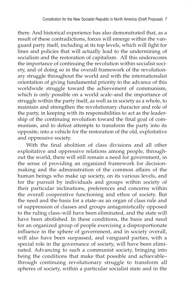there. And historical experience has also demonstrated that, as a result of these contradictions, forces will emerge within the vanguard party itself, including at its top levels, which will fight for lines and policies that will actually lead to the undermining of socialism and the restoration of capitalism. All this underscores the importance of continuing the revolution within socialist society, and of doing so in the overall framework of the revolutionary struggle throughout the world and with the internationalist orientation of giving fundamental priority to the advance of this worldwide struggle toward the achievement of communism, which is only possible on a world scale–and the importance of struggle within the party itself, as well as in society as a whole, to maintain and strengthen the revolutionary character and role of the party, in keeping with its responsibilities to act as the leadership of the continuing revolution toward the final goal of communism, and to defeat attempts to transform the party into its opposite, into a vehicle for the restoration of the old, exploitative and oppressive society.

With the final abolition of class divisions and all other exploitative and oppressive relations among people, throughout the world, there will still remain a need for government, in the sense of providing an organized framework for decisionmaking and the administration of the common affairs of the human beings who make up society, on its various levels, and for the pursuit by individuals and groups within society of their particular inclinations, preferences and concerns within the overall cooperative functioning and ethos of society. But the need and the basis for a state–as an organ of class rule and of suppression of classes and groups antagonistically opposed to the ruling class–will have been eliminated, and the state will have been abolished. In these conditions, the basis and need for an organized group of people exercising a disproportionate influence in the sphere of government, and in society overall, will also have been surpassed, and vanguard parties, with a special role in the governance of society, will have been eliminated. Advancing to such a communist society, bringing into being the conditions that make that possible and achievable– through continuing revolutionary struggle to transform all spheres of society, within a particular socialist state and in the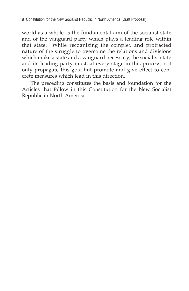world as a whole–is the fundamental aim of the socialist state and of the vanguard party which plays a leading role within that state. While recognizing the complex and protracted nature of the struggle to overcome the relations and divisions which make a state and a vanguard necessary, the socialist state and its leading party must, at every stage in this process, not only propagate this goal but promote and give effect to concrete measures which lead in this direction.

The preceding constitutes the basis and foundation for the Articles that follow in this Constitution for the New Socialist Republic in North America.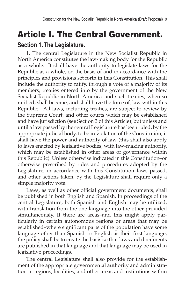# Article I. The Central Government.

#### **Section 1. The Legislature.**

1. The central Legislature in the New Socialist Republic in North America constitutes the law-making body for the Republic as a whole. It shall have the authority to legislate laws for the Republic as a whole, on the basis of and in accordance with the principles and provisions set forth in this Constitution. This shall include the authority to ratify, through a vote of a majority of its members, treaties entered into by the government of the New Socialist Republic in North America–and such treaties, when so ratified, shall become, and shall have the force of, law within this Republic. All laws, including treaties, are subject to review by the Supreme Court, and other courts which may be established and have jurisdiction (see Section 3 of this Article); but unless and until a law passed by the central Legislature has been ruled, by the appropriate judicial body, to be in violation of the Constitution, it shall have the power and authority of law (this shall also apply to laws enacted by legislative bodies, with law-making authority, which may be established in other areas of governance within this Republic). Unless otherwise indicated in this Constitution–or otherwise prescribed by rules and procedures adopted by the Legislature, in accordance with this Constitution–laws passed, and other actions taken, by the Legislature shall require only a simple majority vote.

Laws, as well as other official government documents, shall be published in both English and Spanish. In proceedings of the central Legislature, both Spanish and English may be utilized, with translation from the one language into the other provided simultaneously. If there are areas–and this might apply particularly in certain autonomous regions or areas that may be established–where significant parts of the population have some language other than Spanish or English as their first language, the policy shall be to create the basis so that laws and documents are published in that language and that language may be used in legislative proceedings.

The central Legislature shall also provide for the establishment of the appropriate governmental authority and administration in regions, localities, and other areas and institutions within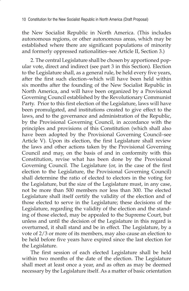the New Socialist Republic in North America. (This includes autonomous regions, or other autonomous areas, which may be established where there are significant populations of minority and formerly oppressed nationalities–see Article II, Section 3.)

2. The central Legislature shall be chosen by apportioned popular vote, direct and indirect (see part 3 in this Section). Election to the Legislature shall, as a general rule, be held every five years, after the first such election–which will have been held within six months after the founding of the New Socialist Republic in North America, and will have been organized by a Provisional Governing Council established by the Revolutionary Communist Party. Prior to this first election of the Legislature, laws will have been promulgated, and institutions created to give effect to the laws, and to the governance and administration of the Republic, by the Provisional Governing Council, in accordance with the principles and provisions of this Constitution (which shall also have been adopted by the Provisional Governing Council–see Article V). Upon its election, the first Legislature shall review the laws and other actions taken by the Provisional Governing Council and may, on the basis of and in conformity with this Constitution, revise what has been done by the Provisional Governing Council. The Legislature (or, in the case of the first election to the Legislature, the Provisional Governing Council) shall determine the ratio of elected to electors in the voting for the Legislature, but the size of the Legislature must, in any case, not be more than 500 members nor less than 300. The elected Legislature shall itself certify the validity of the election and of those elected to serve in the Legislature; these decisions of the Legislature, regarding the validity of the election and the standing of those elected, may be appealed to the Supreme Court, but unless and until the decision of the Legislature in this regard is overturned, it shall stand and be in effect. The Legislature, by a vote of 2/3 or more of its members, may also cause an election to be held before five years have expired since the last election for the Legislature.

The first session of each elected Legislature shall be held within two months of the date of the election. The Legislature shall meet at least once a year, and as often as may be deemed necessary by the Legislature itself. As a matter of basic orientation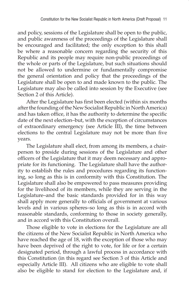and policy, sessions of the Legislature shall be open to the public, and public awareness of the proceedings of the Legislature shall be encouraged and facilitated; the only exception to this shall be where a reasonable concern regarding the security of this Republic and its people may require non-public proceedings of the whole or parts of the Legislature, but such situations should not be allowed to undermine or fundamentally compromise the general orientation and policy that the proceedings of the Legislature shall be open to and made known to the public. The Legislature may also be called into session by the Executive (see Section 2 of this Article).

After the Legislature has first been elected (within six months after the founding of the New Socialist Republic in North America) and has taken office, it has the authority to determine the specific date of the next election–but, with the exception of circumstances of extraordinary emergency (see Article III), the time between elections to the central Legislature may not be more than five years.

The Legislature shall elect, from among its members, a chairperson to preside during sessions of the Legislature and other officers of the Legislature that it may deem necessary and appropriate for its functioning. The Legislature shall have the authority to establish the rules and procedures regarding its functioning, so long as this is in conformity with this Constitution. The Legislature shall also be empowered to pass measures providing for the livelihood of its members, while they are serving in the Legislature–and the basic standards provided for in this way shall apply more generally to officials of government at various levels and in various spheres–so long as this is in accord with reasonable standards, conforming to those in society generally, and in accord with this Constitution overall.

Those eligible to vote in elections for the Legislature are all the citizens of the New Socialist Republic in North America who have reached the age of 18, with the exception of those who may have been deprived of the right to vote, for life or for a certain designated period, through a lawful process in accordance with this Constitution (in this regard see Section 3 of this Article and especially Article III). All citizens who are eligible to vote shall also be eligible to stand for election to the Legislature and, if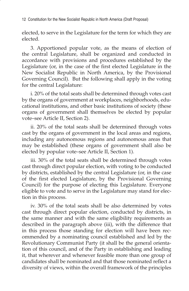elected, to serve in the Legislature for the term for which they are elected.

3. Apportioned popular vote, as the means of election of the central Legislature, shall be organized and conducted in accordance with provisions and procedures established by the Legislature (or, in the case of the first elected Legislature in the New Socialist Republic in North America, by the Provisional Governing Council). But the following shall apply in the voting for the central Legislature:

i. 20% of the total seats shall be determined through votes cast by the organs of government at workplaces, neighborhoods, educational institutions, and other basic institutions of society (these organs of government shall themselves be elected by popular vote–see Article II, Section 2).

ii. 20% of the total seats shall be determined through votes cast by the organs of government in the local areas and regions, including any autonomous regions and autonomous areas that may be established (these organs of government shall also be elected by popular vote–see Article II, Section 1).

iii. 30% of the total seats shall be determined through votes cast through direct popular election, with voting to be conducted by districts, established by the central Legislature (or, in the case of the first elected Legislature, by the Provisional Governing Council) for the purpose of electing this Legislature. Everyone eligible to vote and to serve in the Legislature may stand for election in this process.

iv. 30% of the total seats shall be also determined by votes cast through direct popular election, conducted by districts, in the same manner and with the same eligibility requirements as described in the paragraph above (iii), with the difference that in this process those standing for election will have been recommended by a nominating council established and led by the Revolutionary Communist Party (it shall be the general orientation of this council, and of the Party in establishing and leading it, that wherever and whenever feasible more than one group of candidates shall be nominated and that those nominated reflect a diversity of views, within the overall framework of the principles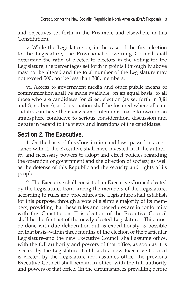and objectives set forth in the Preamble and elsewhere in this Constitution).

v. While the Legislature–or, in the case of the first election to the Legislature, the Provisional Governing Council–shall determine the ratio of elected to electors in the voting for the Legislature, the percentages set forth in points i through iv above may not be altered and the total number of the Legislature may not exceed 500, nor be less than 300, members.

vi. Access to government media and other public means of communication shall be made available, on an equal basis, to all those who are candidates for direct election (as set forth in 3,iii and 3,iv above), and a situation shall be fostered where all candidates can have their views and intentions made known in an atmosphere conducive to serious consideration, discussion and debate in regard to the views and intentions of the candidates.

#### **Section 2. The Executive.**

1. On the basis of this Constitution and laws passed in accordance with it, the Executive shall have invested in it the authority and necessary powers to adopt and effect policies regarding the operation of government and the direction of society, as well as the defense of this Republic and the security and rights of its people.

2. The Executive shall consist of an Executive Council elected by the Legislature, from among the members of the Legislature, according to rules and procedures the Legislature shall establish for this purpose, through a vote of a simple majority of its members, providing that these rules and procedures are in conformity with this Constitution. This election of the Executive Council shall be the first act of the newly elected Legislature. This must be done with due deliberation but as expeditiously as possible on that basis–within three months of the election of the particular Legislature–and the new Executive Council shall assume office, with the full authority and powers of that office, as soon as it is elected by the Legislature. Until such a new Executive Council is elected by the Legislature and assumes office, the previous Executive Council shall remain in office, with the full authority and powers of that office. (In the circumstances prevailing before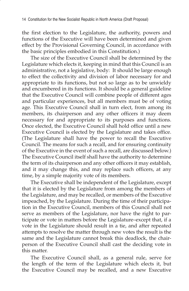the first election to the Legislature, the authority, powers and functions of the Executive will have been determined and given effect by the Provisional Governing Council, in accordance with the basic principles embodied in this Constitution.)

The size of the Executive Council shall be determined by the Legislature which elects it, keeping in mind that this Council is an administrative, not a legislative, body: It should be large enough to effect the collectivity and division of labor necessary for and appropriate to its functions, but not so large as to be unwieldy and encumbered in its functions. It should be a general guideline that the Executive Council will combine people of different ages and particular experiences, but all members must be of voting age. This Executive Council shall in turn elect, from among its members, its chairperson and any other officers it may deem necessary for and appropriate to its purposes and functions. Once elected, the Executive Council shall hold office until a new Executive Council is elected by the Legislature and takes office. (The Legislature shall have the power to recall the Executive Council. The means for such a recall, and for ensuring continuity of the Executive in the event of such a recall, are discussed below.) The Executive Council itself shall have the authority to determine the term of its chairperson and any other officers it may establish, and it may change this, and may replace such officers, at any time, by a simple majority vote of its members.

The Executive shall be independent of the Legislature, except that it is elected by the Legislature from among the members of the Legislature, and may be recalled, or members of the Executive impeached, by the Legislature. During the time of their participation in the Executive Council, members of this Council shall not serve as members of the Legislature, nor have the right to participate or vote in matters before the Legislature–except that, if a vote in the Legislature should result in a tie, and after repeated attempts to resolve the matter through new votes the result is the same and the Legislature cannot break this deadlock, the chairperson of the Executive Council shall cast the deciding vote in this matter.

The Executive Council shall, as a general rule, serve for the length of the term of the Legislature which elects it, but the Executive Council may be recalled, and a new Executive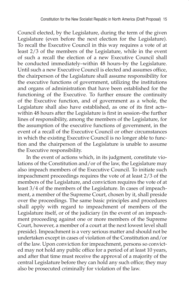Council elected, by the Legislature, during the term of the given Legislature (even before the next election for the Legislature). To recall the Executive Council in this way requires a vote of at least 2/3 of the members of the Legislature, while in the event of such a recall the election of a new Executive Council shall be conducted immediately–within 48 hours–by the Legislature. Until such a new Executive Council is elected and assumes office, the chairperson of the Legislature shall assume responsibility for the executive functions of government, utilizing the institutions and organs of administration that have been established for the functioning of the Executive. To further ensure the continuity of the Executive function, and of government as a whole, the Legislature shall also have established, as one of its first acts– within 48 hours after the Legislature is first in session–the further lines of responsibility, among the members of the Legislature, for the assumption of the executive functions of government, in the event of a recall of the Executive Council or other circumstances in which the existing Executive Council is no longer able to function and the chairperson of the Legislature is unable to assume the Executive responsibility.

In the event of actions which, in its judgment, constitute violations of the Constitution and/or of the law, the Legislature may also impeach members of the Executive Council. To initiate such impeachment proceedings requires the vote of at least 2/3 of the members of the Legislature, and conviction requires the vote of at least 3/4 of the members of the Legislature. In cases of impeachment, a member of the Supreme Court, chosen by it, shall preside over the proceedings. The same basic principles and procedures shall apply with regard to impeachment of members of the Legislature itself, or of the judiciary (in the event of an impeachment proceeding against one or more members of the Supreme Court, however, a member of a court at the next lowest level shall preside). Impeachment is a very serious matter and should not be undertaken except in cases of violation of the Constitution and/or of the law. Upon conviction for impeachment, persons so convicted may not hold any public office for a period of at least 10 years, and after that time must receive the approval of a majority of the central Legislature before they can hold any such office; they may also be prosecuted criminally for violation of the law.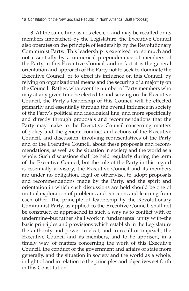3. At the same time as it is elected–and may be recalled or its members impeached–by the Legislature, the Executive Council also operates on the principle of leadership by the Revolutionary Communist Party. This leadership is exercised not so much and not essentially by a numerical preponderance of members of the Party in this Executive Council–and in fact it is the general orientation and approach of the Party not to seek to dominate the Executive Council, or to effect its influence on this Council, by relying on organizational means and the securing of a majority on the Council. Rather, whatever the number of Party members who may at any given time be elected to and serving on the Executive Council, the Party's leadership of this Council will be effected primarily and essentially through the overall influence in society of the Party's political and ideological line, and more specifically and directly through proposals and recommendations that the Party may make to the Executive Council concerning matters of policy and the general conduct and actions of the Executive Council, and discussion, involving representatives of the Party and of the Executive Council, about these proposals and recommendations, as well as the situation in society and the world as a whole. Such discussions shall be held regularly during the term of the Executive Council, but the role of the Party in this regard is essentially advisory; the Executive Council and its members are under no obligation, legal or otherwise, to adopt proposals and recommendations made by the Party, and the spirit and orientation in which such discussions are held should be one of mutual exploration of problems and concerns and learning from each other. The principle of leadership by the Revolutionary Communist Party, as applied to the Executive Council, shall not be construed or approached in such a way as to conflict with or undermine–but rather shall work in fundamental unity with–the basic principles and provisions which establish in the Legislature the authority and power to elect, and to recall or impeach, the Executive Council and its members, and to be apprised, in a timely way, of matters concerning the work of this Executive Council, the conduct of the government and affairs of state more generally, and the situation in society and the world as a whole, in light of and in relation to the principles and objectives set forth in this Constitution.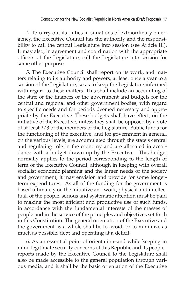4. To carry out its duties in situations of extraordinary emergency, the Executive Council has the authority and the responsibility to call the central Legislature into session (see Article III). It may also, in agreement and coordination with the appropriate officers of the Legislature, call the Legislature into session for some other purpose.

5. The Executive Council shall report on its work, and matters relating to its authority and powers, at least once a year to a session of the Legislature, so as to keep the Legislature informed with regard to these matters. This shall include an accounting of the state of the finances of the government and budgets for the central and regional and other government bodies, with regard to specific needs and for periods deemed necessary and appropriate by the Executive. These budgets shall have effect, on the initiative of the Executive, unless they shall be opposed by a vote of at least 2/3 of the members of the Legislature. Public funds for the functioning of the executive, and for government in general, on the various levels, are accumulated through the state's central and regulating role in the economy and are allocated in accordance with a budget drawn up by the Executive. This budget normally applies to the period corresponding to the length of term of the Executive Council, although in keeping with overall socialist economic planning and the larger needs of the society and government, it may envision and provide for some longerterm expenditures. As all of the funding for the government is based ultimately on the initiative and work, physical and intellectual, of the people, serious and systematic attention must be paid to making the most efficient and productive use of such funds, in accordance with the fundamental interests of the masses of people and in the service of the principles and objectives set forth in this Constitution. The general orientation of the Executive and the government as a whole shall be to avoid, or to minimize as much as possible, debt and operating at a deficit.

6. As an essential point of orientation–and while keeping in mind legitimate security concerns of this Republic and its people– reports made by the Executive Council to the Legislature shall also be made accessible to the general population through various media, and it shall be the basic orientation of the Executive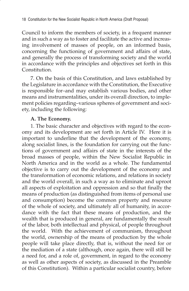Council to inform the members of society, in a frequent manner and in such a way as to foster and facilitate the active and increasing involvement of masses of people, on an informed basis, concerning the functioning of government and affairs of state, and generally the process of transforming society and the world in accordance with the principles and objectives set forth in this Constitution.

7. On the basis of this Constitution, and laws established by the Legislature in accordance with the Constitution, the Executive is responsible for–and may establish various bodies, and other means and instrumentalities, under its overall direction, to implement policies regarding–various spheres of government and society, including the following:

#### **A. The Economy.**

1. The basic character and objectives with regard to the economy and its development are set forth in Article IV. Here it is important to underline that the development of the economy, along socialist lines, is the foundation for carrying out the functions of government and affairs of state in the interests of the broad masses of people, within the New Socialist Republic in North America and in the world as a whole. The fundamental objective is to carry out the development of the economy and the transformation of economic relations, and relations in society and the world overall, in such a way as to eliminate and uproot all aspects of exploitation and oppression and so that finally the means of production (as distinguished from items of personal use and consumption) become the common property and resource of the whole of society, and ultimately all of humanity, in accordance with the fact that these means of production, and the wealth that is produced in general, are fundamentally the result of the labor, both intellectual and physical, of people throughout the world. With the achievement of communism, throughout the world, ownership of the means of production by the whole people will take place directly, that is, without the need for or the mediation of a state (although, once again, there will still be a need for, and a role of, government, in regard to the economy as well as other aspects of society, as discussed in the Preamble of this Constitution). Within a particular socialist country, before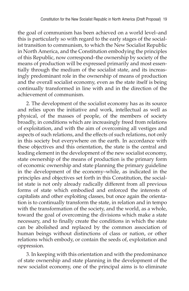the goal of communism has been achieved on a world level–and this is particularly so with regard to the early stages of the socialist transition to communism, to which the New Socialist Republic in North America, and the Constitution embodying the principles of this Republic, now correspond–the ownership by society of the means of production will be expressed primarily and most essentially through the medium of the socialist state, and its increasingly predominant role in the ownership of means of production and the overall socialist economy, even as the state itself is being continually transformed in line with and in the direction of the achievement of communism.

2. The development of the socialist economy has as its source and relies upon the initiative and work, intellectual as well as physical, of the masses of people, of the members of society broadly, in conditions which are increasingly freed from relations of exploitation, and with the aim of overcoming all vestiges and aspects of such relations, and the effects of such relations, not only in this society but everywhere on the earth. In accordance with these objectives and this orientation, the state is the central and leading element in the development of the new socialist economy, state ownership of the means of production is the primary form of economic ownership and state planning the primary guideline in the development of the economy–while, as indicated in the principles and objectives set forth in this Constitution, the socialist state is not only already radically different from all previous forms of state which embodied and enforced the interests of capitalists and other exploiting classes, but once again the orientation is to continually transform the state, in relation and in tempo with the transformation of the society, and the world, as a whole, toward the goal of overcoming the divisions which make a state necessary, and to finally create the conditions in which the state can be abolished and replaced by the common association of human beings without distinctions of class or nation, or other relations which embody, or contain the seeds of, exploitation and oppression.

3. In keeping with this orientation and with the predominance of state ownership and state planning in the development of the new socialist economy, one of the principal aims is to eliminate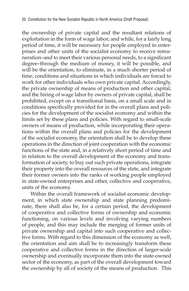the ownership of private capital and the resultant relations of exploitation in the form of wage labor; and while, for a fairly long period of time, it will be necessary for people employed in enterprises and other units of the socialist economy to receive remuneration–and to meet their various personal needs, to a significant degree–through the medium of money, it will be possible, and will be the orientation, to eliminate, in a much shorter period of time, conditions and situations in which individuals are forced to work for other individuals who own private capital. Accordingly, the private ownership of means of production and other capital, and the hiring of wage labor by owners of private capital, shall be prohibited, except on a transitional basis, on a small scale and in conditions specifically provided for in the overall plans and policies for the development of the socialist economy and within the limits set by these plans and policies. With regard to small-scale owners of means of production, while incorporating their operations within the overall plans and policies for the development of the socialist economy, the orientation shall be to develop these operations in the direction of joint cooperation with the economic functions of the state and, in a relatively short period of time and in relation to the overall development of the economy and transformation of society, to buy out such private operations, integrate their property into the overall resources of the state, and integrate their former owners into the ranks of working people employed in state-owned enterprises and other, collective and cooperative, units of the economy.

Within the overall framework of socialist economic development, in which state ownership and state planning predominate, there shall also be, for a certain period, the development of cooperative and collective forms of ownership and economic functioning, on various levels and involving varying numbers of people, and this may include the merging of former units of private ownership and capital into such cooperative and collective forms. With regard to this dimension of the economy as well, the orientation and aim shall be to increasingly transform these cooperative and collective forms in the direction of larger-scale ownership and eventually incorporate them into the state-owned sector of the economy, as part of the overall development toward the ownership by all of society of the means of production. This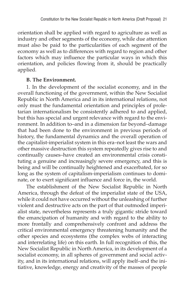orientation shall be applied with regard to agriculture as well as industry and other segments of the economy, while due attention must also be paid to the particularities of each segment of the economy as well as to differences with regard to region and other factors which may influence the particular ways in which this orientation, and policies flowing from it, should be practically applied.

#### **B. The Environment.**

1. In the development of the socialist economy, and in the overall functioning of the government, within the New Socialist Republic in North America and in its international relations, not only must the fundamental orientation and principles of proletarian internationalism be consistently adhered to and applied, but this has special and urgent relevance with regard to the environment. In addition to–and in a dimension far beyond–damage that had been done to the environment in previous periods of history, the fundamental dynamics and the overall operation of the capitalist-imperialist system in this era–not least the wars and other massive destruction this system repeatedly gives rise to and continually causes–have created an environmental crisis constituting a genuine and increasingly severe emergency, and this is being and will be continually heightened and exacerbated, for so long as the system of capitalism-imperialism continues to dominate, or to exert significant influence and force in, the world.

The establishment of the New Socialist Republic in North America, through the defeat of the imperialist state of the USA, while it could not have occurred without the unleashing of further violent and destructive acts on the part of that outmoded imperialist state, nevertheless represents a truly gigantic stride toward the emancipation of humanity and with regard to the ability to more frontally and comprehensively confront and address the critical environmental emergency threatening humanity and the other species and ecosystems (the complex webs of interacting and interrelating life) on this earth. In full recognition of this, the New Socialist Republic in North America, in its development of a socialist economy, in all spheres of government and social activity, and in its international relations, will apply itself–and the initiative, knowledge, energy and creativity of the masses of people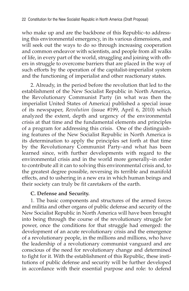who make up and are the backbone of this Republic–to addressing this environmental emergency, in its various dimensions, and will seek out the ways to do so through increasing cooperation and common endeavor with scientists, and people from all walks of life, in every part of the world, struggling and joining with others in struggle to overcome barriers that are placed in the way of such efforts by the operation of the capitalist-imperialist system and the functioning of imperialist and other reactionary states.

2. Already, in the period before the revolution that led to the establishment of the New Socialist Republic in North America, the Revolutionary Communist Party (in what was then the imperialist United States of America) published a special issue of its newspaper, *Revolution* (issue #199, April 6, 2010) which analyzed the extent, depth and urgency of the environmental crisis at that time and the fundamental elements and principles of a program for addressing this crisis. One of the distinguishing features of the New Socialist Republic in North America is its determination to apply the principles set forth at that time by the Revolutionary Communist Party–and what has been learned since, with further developments with regard to the environmental crisis and in the world more generally–in order to contribute all it can to solving this environmental crisis and, to the greatest degree possible, reversing its terrible and manifold effects, and to ushering in a new era in which human beings and their society can truly be fit caretakers of the earth.

#### **C. Defense and Security.**

1. The basic components and structures of the armed forces and militia and other organs of public defense and security of the New Socialist Republic in North America will have been brought into being through the course of the revolutionary struggle for power, once the conditions for that struggle had emerged: the development of an acute revolutionary crisis and the emergence of a revolutionary people, in the millions and millions, who have the leadership of a revolutionary communist vanguard and are conscious of the need for revolutionary change and determined to fight for it. With the establishment of this Republic, these institutions of public defense and security will be further developed in accordance with their essential purpose and role: to defend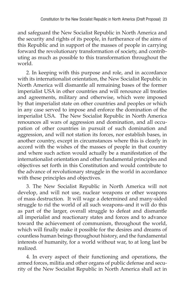and safeguard the New Socialist Republic in North America and the security and rights of its people, in furtherance of the aims of this Republic and in support of the masses of people in carrying forward the revolutionary transformation of society, and contributing as much as possible to this transformation throughout the world.

2. In keeping with this purpose and role, and in accordance with its internationalist orientation, the New Socialist Republic in North America will dismantle all remaining bases of the former imperialist USA in other countries and will renounce all treaties and agreements, military and otherwise, which were imposed by that imperialist state on other countries and peoples or which in any case served to impose and enforce the domination of the imperialist USA. The New Socialist Republic in North America renounces all wars of aggression and domination, and all occupation of other countries in pursuit of such domination and aggression, and will not station its forces, nor establish bases, in another country, except in circumstances where this is clearly in accord with the wishes of the masses of people in that country and where such action would actually be a manifestation of the internationalist orientation and other fundamental principles and objectives set forth in this Constitution and would contribute to the advance of revolutionary struggle in the world in accordance with these principles and objectives.

3. The New Socialist Republic in North America will not develop, and will not use, nuclear weapons or other weapons of mass destruction. It will wage a determined and many-sided struggle to rid the world of all such weapons–and it will do this as part of the larger, overall struggle to defeat and dismantle all imperialist and reactionary states and forces and to advance toward the achievement of communism, throughout the world, which will finally make it possible for the desires and dreams of countless human beings throughout history, and the fundamental interests of humanity, for a world without war, to at long last be realized.

4. In every aspect of their functioning and operations, the armed forces, militia and other organs of public defense and security of the New Socialist Republic in North America shall act in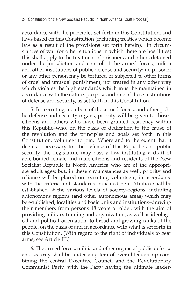accordance with the principles set forth in this Constitution, and laws based on this Constitution (including treaties which become law as a result of the provisions set forth herein). In circumstances of war (or other situations in which there are hostilities) this shall apply to the treatment of prisoners and others detained under the jurisdiction and control of the armed forces, militia and other institutions of public defense and security: no prisoner or any other person may be tortured or subjected to other forms of cruel and unusual punishment, nor treated in any other way which violates the high standards which must be maintained in accordance with the nature, purpose and role of these institutions of defense and security, as set forth in this Constitution.

5. In recruiting members of the armed forces, and other public defense and security organs, priority will be given to those– citizens and others who have been granted residency within this Republic–who, on the basis of dedication to the cause of the revolution and the principles and goals set forth in this Constitution, volunteer to join. Where and to the extent that it deems it necessary for the defense of this Republic and public security, the Legislature may pass a law instituting a draft of able-bodied female and male citizens and residents of the New Socialist Republic in North America who are of the appropriate adult ages; but, in these circumstances as well, priority and reliance will be placed on recruiting volunteers, in accordance with the criteria and standards indicated here. Militias shall be established at the various levels of society–regions, including autonomous regions (and other autonomous areas) which may be established, localities and basic units and institutions–drawing their members from persons 18 years or older, with the aim of providing military training and organization, as well as ideological and political orientation, to broad and growing ranks of the people, on the basis of and in accordance with what is set forth in this Constitution. (With regard to the right of individuals to bear arms, see Article III.)

6. The armed forces, militia and other organs of public defense and security shall be under a system of overall leadership combining the central Executive Council and the Revolutionary Communist Party, with the Party having the ultimate leader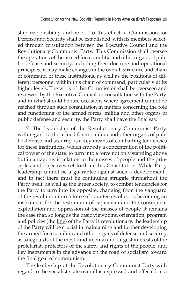ship responsibility and role. To this effect, a Commission for Defense and Security shall be established, with its members selected through consultation between the Executive Council and the Revolutionary Communist Party. This Commission shall oversee the operations of the armed forces, militia and other organs of public defense and security, including their doctrine and operational principles; it may make changes in the overall structure and chain of command of these institutions, as well as the positions of different personnel within this chain of command, particularly at its higher levels. The work of this Commission shall be overseen and reviewed by the Executive Council, in consultation with the Party, and in what should be rare occasions where agreement cannot be reached through such consultation in matters concerning the role and functioning of the armed forces, militia and other organs of public defense and security, the Party shall have the final say.

7. The leadership of the Revolutionary Communist Party, with regard to the armed forces, militia and other organs of public defense and security, is a key means of combatting tendencies for these institutions, which embody a concentration of the political power of the state, to turn into a force not only standing above but in antagonistic relation to the masses of people and the principles and objectives set forth in this Constitution. While Party leadership cannot be a guarantee against such a development– and in fact there must be continuing struggle throughout the Party itself, as well as the larger society, to combat tendencies for the Party to turn into its opposite, changing from the vanguard of the revolution into a force of counter-revolution, becoming an instrument for the restoration of capitalism and the consequent exploitation and oppression of the masses of people–it remains the case that, so long as the basic viewpoint, orientation, program and policies (the line) of the Party is revolutionary, the leadership of the Party will be crucial in maintaining and further developing the armed forces, militia and other organs of defense and security as safeguards of the most fundamental and largest interests of the proletariat, protectors of the safety and rights of the people, and key instruments in the advance on the road of socialism toward the final goal of communism.

The leadership of the Revolutionary Communist Party with regard to the socialist state overall is expressed and effected in a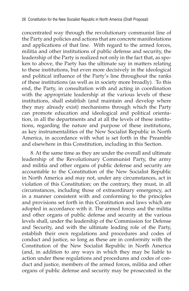concentrated way through the revolutionary communist line of the Party and policies and actions that are concrete manifestations and applications of that line. With regard to the armed forces, militia and other institutions of public defense and security, the leadership of the Party is realized not only in the fact that, as spoken to above, the Party has the ultimate say in matters relating to these institutions, but even more decisively in the ideological and political influence of the Party's line throughout the ranks of these institutions (as well as in society more broadly). To this end, the Party, in consultation with and acting in coordination with the appropriate leadership at the various levels of these institutions, shall establish (and maintain and develop where they may already exist) mechanisms through which the Party can promote education and ideological and political orientation, in all the departments and at all the levels of these institutions, regarding the nature and purpose of these institutions, as key instrumentalities of the New Socialist Republic in North America, in accordance with what is set forth in the Preamble and elsewhere in this Constitution, including in this Section.

8. At the same time as they are under the overall and ultimate leadership of the Revolutionary Communist Party, the army and militia and other organs of public defense and security are accountable to the Constitution of the New Socialist Republic in North America and may not, under any circumstances, act in violation of this Constitution; on the contrary, they must, in all circumstances, including those of extraordinary emergency, act in a manner consistent with and conforming to the principles and provisions set forth in this Constitution and laws which are adopted in accordance with it. The armed forces and the militia and other organs of public defense and security at the various levels shall, under the leadership of the Commission for Defense and Security, and with the ultimate leading role of the Party, establish their own regulations and procedures and codes of conduct and justice, so long as these are in conformity with the Constitution of the New Socialist Republic in North America (and, in addition to any ways in which they may be liable to action under these regulations and procedures and codes of conduct and justice, members of the armed forces, militia and other organs of public defense and security may be prosecuted in the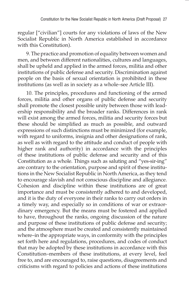regular ["civilian"] courts for any violations of laws of the New Socialist Republic in North America established in accordance with this Constitution).

9. The practice and promotion of equality between women and men, and between different nationalities, cultures and languages, shall be upheld and applied in the armed forces, militia and other institutions of public defense and security. Discrimination against people on the basis of sexual orientation is prohibited in these institutions (as well as in society as a whole–see Article III).

10. The principles, procedures and functioning of the armed forces, militia and other organs of public defense and security shall promote the closest possible unity between those with leadership responsibility and the broader ranks. Differences in rank will exist among the armed forces, militia and security forces but these should be simplified as much as possible, and outward expressions of such distinctions must be minimized (for example, with regard to uniforms, insignia and other designations of rank, as well as with regard to the attitude and conduct of people with higher rank and authority) in accordance with the principles of these institutions of public defense and security and of this Constitution as a whole. Things such as saluting and "yes-sir-ing" are contrary to the orientation, purpose and spirit of these institutions in the New Socialist Republic in North America, as they tend to encourage slavish and not conscious discipline and allegiance. Cohesion and discipline within these institutions are of great importance and must be consistently adhered to and developed, and it is the duty of everyone in their ranks to carry out orders in a timely way, and especially so in conditions of war or extraordinary emergency. But the means must be fostered and applied to have, throughout the ranks, ongoing discussion of the nature and purpose of these institutions of public defense and security; and the atmosphere must be created and consistently maintained where–in the appropriate ways, in conformity with the principles set forth here and regulations, procedures, and codes of conduct that may be adopted by these institutions in accordance with this Constitution–members of these institutions, at every level, feel free to, and are encouraged to, raise questions, disagreements and criticisms with regard to policies and actions of these institutions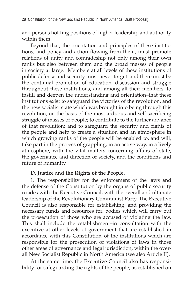and persons holding positions of higher leadership and authority within them.

Beyond that, the orientation and principles of these institutions, and policy and action flowing from them, must promote relations of unity and comradeship not only among their own ranks but also between them and the broad masses of people in society at large. Members at all levels of these institutions of public defense and security must never forget–and there must be the continual promotion of education, discussion and struggle throughout these institutions, and among all their members, to instill and deepen the understanding and orientation–that these institutions exist to safeguard the victories of the revolution, and the new socialist state which was brought into being through this revolution, on the basis of the most arduous and self-sacrificing struggle of masses of people; to contribute to the further advance of that revolution; and to safeguard the security and rights of the people and help to create a situation and an atmosphere in which growing ranks of the people will be enabled to, and will, take part in the process of grappling, in an active way, in a lively atmosphere, with the vital matters concerning affairs of state, the governance and direction of society, and the conditions and future of humanity.

#### **D. Justice and the Rights of the People.**

1. The responsibility for the enforcement of the laws and the defense of the Constitution by the organs of public security resides with the Executive Council, with the overall and ultimate leadership of the Revolutionary Communist Party. The Executive Council is also responsible for establishing, and providing the necessary funds and resources for, bodies which will carry out the prosecution of those who are accused of violating the law. This shall include the establishment–in consultation with the executive at other levels of government that are established in accordance with this Constitution–of the institutions which are responsible for the prosecution of violations of laws in those other areas of governance and legal jurisdiction, within the overall New Socialist Republic in North America (see also Article II).

At the same time, the Executive Council also has responsibility for safeguarding the rights of the people, as established on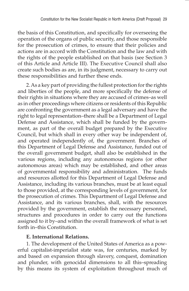the basis of this Constitution, and specifically for overseeing the operation of the organs of public security, and those responsible for the prosecution of crimes, to ensure that their policies and actions are in accord with the Constitution and the law and with the rights of the people established on that basis (see Section 3 of this Article and Article III). The Executive Council shall also create such bodies as are, in its judgment, necessary to carry out these responsibilities and further these ends.

2. As a key part of providing the fullest protection for the rights and liberties of the people, and more specifically the defense of their rights in situations where they are accused of crimes–as well as in other proceedings where citizens or residents of this Republic are confronting the government as a legal adversary and have the right to legal representation–there shall be a Department of Legal Defense and Assistance, which shall be funded by the government, as part of the overall budget prepared by the Executive Council, but which shall in every other way be independent of, and operated independently of, the government. Branches of this Department of Legal Defense and Assistance, funded out of the overall government budget, shall also be established in the various regions, including any autonomous regions (or other autonomous areas) which may be established, and other areas of governmental responsibility and administration. The funds and resources allotted for this Department of Legal Defense and Assistance, including its various branches, must be at least equal to those provided, at the corresponding levels of government, for the prosecution of crimes. This Department of Legal Defense and Assistance, and its various branches, shall, with the resources provided by the government, establish the necessary personnel, structures and procedures in order to carry out the functions assigned to it by–and within the overall framework of what is set forth in–this Constitution.

# **E. International Relations.**

1. The development of the United States of America as a powerful capitalist-imperialist state was, for centuries, marked by and based on expansion through slavery, conquest, domination and plunder, with genocidal dimensions to all this–spreading by this means its system of exploitation throughout much of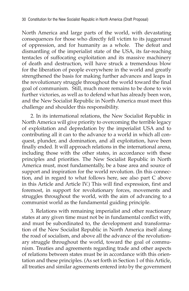North America and large parts of the world, with devastating consequences for those who directly fell victim to its juggernaut of oppression, and for humanity as a whole. The defeat and dismantling of the imperialist state of the USA, its far-reaching tentacles of suffocating exploitation and its massive machinery of death and destruction, will have struck a tremendous blow for the liberation of people everywhere in the world and greatly strengthened the basis for making further advances and leaps in the revolutionary struggle throughout the world toward the final goal of communism. Still, much more remains to be done to win further victories, as well as to defend what has already been won, and the New Socialist Republic in North America must meet this challenge and shoulder this responsibility.

2. In its international relations, the New Socialist Republic in North America will give priority to overcoming the terrible legacy of exploitation and depredation by the imperialist USA and to contributing all it can to the advance to a world in which all conquest, plunder, and domination, and all exploitation, have been finally ended. It will approach relations in the international arena, including those with the other states, in accordance with these principles and priorities. The New Socialist Republic in North America must, most fundamentally, be a base area and source of support and inspiration for the world revolution. (In this connection, and in regard to what follows here, see also part C above in this Article and Article IV.) This will find expression, first and foremost, in support for revolutionary forces, movements and struggles throughout the world, with the aim of advancing to a communist world as the fundamental guiding principle.

3. Relations with remaining imperialist and other reactionary states at any given time must not be in fundamental conflict with, and must be subordinated to, the development and transformation of the New Socialist Republic in North America itself along the road of socialism, and above all the advance of the revolutionary struggle throughout the world, toward the goal of communism. Treaties and agreements regarding trade and other aspects of relations between states must be in accordance with this orientation and these principles. (As set forth in Section 1 of this Article, all treaties and similar agreements entered into by the government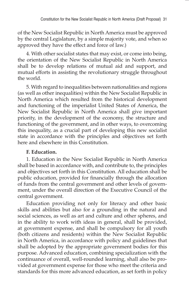of the New Socialist Republic in North America must be approved by the central Legislature, by a simple majority vote, and when so approved they have the effect and force of law.)

4. With other socialist states that may exist, or come into being, the orientation of the New Socialist Republic in North America shall be to develop relations of mutual aid and support, and mutual efforts in assisting the revolutionary struggle throughout the world.

5. With regard to inequalities between nationalities and regions (as well as other inequalities) within the New Socialist Republic in North America which resulted from the historical development and functioning of the imperialist United States of America, the New Socialist Republic in North America shall give important priority, in the development of the economy, the structure and functioning of the government, and in other ways, to overcoming this inequality, as a crucial part of developing this new socialist state in accordance with the principles and objectives set forth here and elsewhere in this Constitution.

# **F. Education.**

1. Education in the New Socialist Republic in North America shall be based in accordance with, and contribute to, the principles and objectives set forth in this Constitution. All education shall be public education, provided for financially through the allocation of funds from the central government and other levels of government, under the overall direction of the Executive Council of the central government.

Education providing not only for literacy and other basic skills and abilities but also for a grounding in the natural and social sciences, as well as art and culture and other spheres, and in the ability to work with ideas in general, shall be provided, at government expense, and shall be compulsory for all youth (both citizens and residents) within the New Socialist Republic in North America, in accordance with policy and guidelines that shall be adopted by the appropriate government bodies for this purpose. Advanced education, combining specialization with the continuance of overall, well-rounded learning, shall also be provided at government expense for those who meet the criteria and standards for this more advanced education, as set forth in policy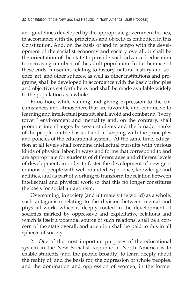and guidelines developed by the appropriate government bodies, in accordance with the principles and objectives embodied in this Constitution. And, on the basis of and in tempo with the development of the socialist economy and society overall, it shall be the orientation of the state to provide such advanced education to increasing numbers of the adult population. In furtherance of these ends, museums relating to history, natural history and science, art, and other spheres, as well as other institutions and programs, shall be developed in accordance with the basic principles and objectives set forth here, and shall be made available widely to the population as a whole.

Education, while valuing and giving expression to the circumstances and atmosphere that are favorable and conducive to learning and intellectual pursuit, shall avoid and combat an "ivory tower" environment and mentality and, on the contrary, shall promote interchanges between students and the broader ranks of the people, on the basis of and in keeping with the principles and policies of the educational system. At the same time, education at all levels shall combine intellectual pursuits with various kinds of physical labor, in ways and forms that correspond to and are appropriate for students of different ages and different levels of development, in order to foster the development of new generations of people with well-rounded experience, knowledge and abilities, and as part of working to transform the relation between intellectual and physical work so that this no longer constitutes the basis for social antagonism.

Overcoming, in society (and ultimately the world) as a whole, such antagonism relating to the division between mental and physical work, which is deeply rooted in the development of societies marked by oppressive and exploitative relations and which is itself a potential source of such relations, shall be a concern of the state overall, and attention shall be paid to this in all spheres of society.

2. One of the most important purposes of the educational system in the New Socialist Republic in North America is to enable students (and the people broadly) to learn deeply about the reality of, and the basis for, the oppression of whole peoples, and the domination and oppression of women, in the former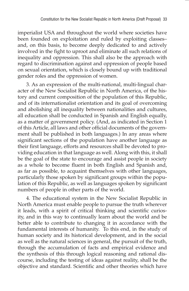imperialist USA and throughout the world where societies have been founded on exploitation and ruled by exploiting classes– and, on this basis, to become deeply dedicated to and actively involved in the fight to uproot and eliminate all such relations of inequality and oppression. This shall also be the approach with regard to discrimination against and oppression of people based on sexual orientation, which is closely bound up with traditional gender roles and the oppression of women.

3. As an expression of the multi-national, multi-lingual character of the New Socialist Republic in North America, of the history and current composition of the population of this Republic, and of its internationalist orientation and its goal of overcoming and abolishing all inequality between nationalities and cultures, all education shall be conducted in Spanish and English equally, as a matter of government policy. (And, as indicated in Section 1 of this Article, all laws and other official documents of the government shall be published in both languages.) In any areas where significant sections of the population have another language as their first language, efforts and resources shall be devoted to providing education in that language as well. Along with this, it shall be the goal of the state to encourage and assist people in society as a whole to become fluent in both English and Spanish and, as far as possible, to acquaint themselves with other languages, particularly those spoken by significant groups within the population of this Republic, as well as languages spoken by significant numbers of people in other parts of the world.

4. The educational system in the New Socialist Republic in North America must enable people to pursue the truth wherever it leads, with a spirit of critical thinking and scientific curiosity, and in this way to continually learn about the world and be better able to contribute to changing it in accordance with the fundamental interests of humanity. To this end, in the study of human society and its historical development, and in the social as well as the natural sciences in general, the pursuit of the truth, through the accumulation of facts and empirical evidence and the synthesis of this through logical reasoning and rational discourse, including the testing of ideas against reality, shall be the objective and standard. Scientific and other theories which have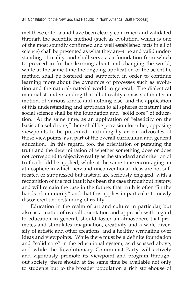met these criteria and have been clearly confirmed and validated through the scientific method (such as evolution, which is one of the most soundly confirmed and well established facts in all of science) shall be presented as what they are–true and valid understanding of reality–and shall serve as a foundation from which to proceed in further learning about and changing the world, while at the same time the ongoing application of the scientific method shall be fostered and supported in order to continue learning more about the dynamics of processes such as evolution and the natural-material world in general. The dialectical materialist understanding that all of reality consists of matter in motion, of various kinds, and nothing else, and the application of this understanding and approach to all spheres of natural and social science shall be the foundation and "solid core" of education. At the same time, as an application of "elasticity on the basis of a solid core," there shall be provision for other, opposing viewpoints to be presented, including by ardent advocates of those viewpoints, as a part of the overall curriculum and general education. In this regard, too, the orientation of pursuing the truth and the determination of whether something does or does not correspond to objective reality as the standard and criterion of truth, should be applied, while at the same time encouraging an atmosphere in which new and unconventional ideas are not suffocated or suppressed but instead are seriously engaged, with a recognition of the fact that it has been the case throughout history, and will remain the case in the future, that truth is often "in the hands of a minority" and that this applies in particular to newly discovered understanding of reality.

Education in the realm of art and culture in particular, but also as a matter of overall orientation and approach with regard to education in general, should foster an atmosphere that promotes and stimulates imagination, creativity and a wide diversity of artistic and other creations, and a healthy wrangling over ideas and viewpoints. While there must be a definite foundation and "solid core" in the educational system, as discussed above; and while the Revolutionary Communist Party will actively and vigorously promote its viewpoint and program throughout society; there should at the same time be available not only to students but to the broader population a rich storehouse of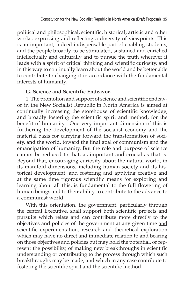political and philosophical, scientific, historical, artistic and other works, expressing and reflecting a diversity of viewpoints. This is an important, indeed indispensable part of enabling students, and the people broadly, to be stimulated, sustained and enriched intellectually and culturally and to pursue the truth wherever it leads with a spirit of critical thinking and scientific curiosity, and in this way to continually learn about the world and be better able to contribute to changing it in accordance with the fundamental interests of humanity.

## **G. Science and Scientific Endeavor.**

1. The promotion and support of science and scientific endeavor in the New Socialist Republic in North America is aimed at continually increasing the storehouse of scientific knowledge, and broadly fostering the scientific spirit and method, for the benefit of humanity. One very important dimension of this is furthering the development of the socialist economy and the material basis for carrying forward the transformation of society, and the world, toward the final goal of communism and the emancipation of humanity. But the role and purpose of science cannot be reduced to that, as important and crucial as that is. Beyond that, encouraging curiosity about the natural world, in its manifold dimensions, including human society and its historical development, and fostering and applying creative and at the same time rigorous scientific means for exploring and learning about all this, is fundamental to the full flowering of human beings and to their ability to contribute to the advance to a communist world.

With this orientation, the government, particularly through the central Executive, shall support both scientific projects and pursuits which relate and can contribute more directly to the objectives and policies of the government at any given time and scientific experimentation, research and theoretical exploration which may have no direct and immediate relation to and bearing on those objectives and policies but may hold the potential, or represent the possibility, of making new breakthroughs in scientific understanding or contributing to the process through which such breakthroughs may be made, and which in any case contribute to fostering the scientific spirit and the scientific method.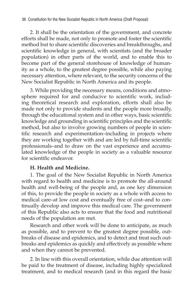2. It shall be the orientation of the government, and concrete efforts shall be made, not only to promote and foster the scientific method but to share scientific discoveries and breakthroughs, and scientific knowledge in general, with scientists (and the broader population) in other parts of the world, and to enable this to become part of the general storehouse of knowledge of humanity as a whole, to the greatest degree possible, while also paying necessary attention, where relevant, to the security concerns of the New Socialist Republic in North America and its people.

3. While providing the necessary means, conditions and atmosphere required for and conducive to scientific work, including theoretical research and exploration, efforts shall also be made not only to provide students and the people more broadly, through the educational system and in other ways, basic scientific knowledge and grounding in scientific principles and the scientific method, but also to involve growing numbers of people in scientific research and experimentation–including in projects where they are working together with and are led by full-time scientific professionals–and to draw on the vast experience and accumulated knowledge of the people in society as a valuable resource for scientific endeavor.

# **H. Health and Medicine.**

1. The goal of the New Socialist Republic in North America with regard to health and medicine is to promote the all-around health and well-being of the people and, as one key dimension of this, to provide the people in society as a whole with access to medical care–at low cost and eventually free of cost–and to continually develop and improve this medical care. The government of this Republic also acts to ensure that the food and nutritional needs of the population are met.

Research and other work will be done to anticipate, as much as possible, and to prevent to the greatest degree possible, outbreaks of disease and epidemics, and to detect and treat such outbreaks and epidemics as quickly and effectively as possible where and when they cannot be prevented.

2. In line with this overall orientation, while due attention will be paid to the treatment of disease, including highly specialized treatment, and to medical research (and in this regard the basic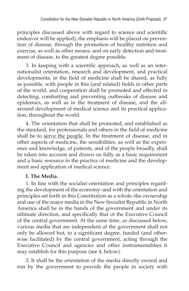principles discussed above with regard to science and scientific endeavor will be applied), the emphasis will be placed on prevention of disease, through the promotion of healthy nutrition and exercise, as well as other means, and on early detection and treatment of disease, to the greatest degree possible.

3. In keeping with a scientific approach, as well as an internationalist orientation, research and development, and practical developments, in the field of medicine shall be shared, as fully as possible, with people in this (and related) fields in other parts of the world, and cooperation shall be promoted and effected in detecting, combatting and preventing outbreaks of disease and epidemics, as well as in the treatment of disease, and the allaround development of medical science and its practical application, throughout the world.

4. The orientation that shall be promoted, and established as the standard, for professionals and others in the field of medicine shall be to serve the people. In the treatment of disease, and in other aspects of medicine, the sensibilities, as well as the experience and knowledge, of patients, and of the people broadly, shall be taken into account and drawn on fully as a basic requirement and a basic resource in the practice of medicine and the development and application of medical science.

# **I. The Media.**

1. In line with the socialist orientation and principles regarding the development of the economy–and with the orientation and principles set forth in this Constitution as a whole–the ownership and use of the major media in the New Socialist Republic in North America shall be in the hands of the government and under its ultimate direction, and specifically that of the Executive Council of the central government. At the same time, as discussed below, various media that are independent of the government shall not only be allowed but, to a significant degree, funded (and otherwise facilitated) by the central government, acting through the Executive Council and agencies and other instrumentalities it may establish for this purpose (see 4, below).

2. It shall be the orientation of the media directly owned and run by the government to provide the people in society with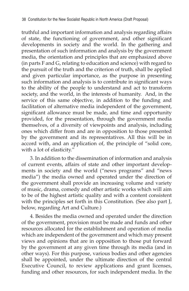truthful and important information and analysis regarding affairs of state, the functioning of government, and other significant developments in society and the world. In the gathering and presentation of such information and analysis by the government media, the orientation and principles that are emphasized above (in parts F and G, relating to education and science) with regard to the pursuit of the truth and the criterion of truth, shall be applied and given particular importance, as the purpose in presenting such information and analysis is to contribute in significant ways to the ability of the people to understand and act to transform society, and the world, in the interests of humanity. And, in the service of this same objective, in addition to the funding and facilitation of alternative media independent of the government, significant allowance must be made, and time and opportunity provided, for the presentation, through the government media themselves, of a diversity of viewpoints and analysis, including ones which differ from and are in opposition to those presented by the government and its representatives. All this will be in accord with, and an application of, the principle of "solid core, with a lot of elasticity."

3. In addition to the dissemination of information and analysis of current events, affairs of state and other important developments in society and the world ("news programs" and "news media") the media owned and operated under the direction of the government shall provide an increasing volume and variety of music, drama, comedy and other artistic works which will aim to be of the highest artistic quality and with a content consistent with the principles set forth in this Constitution. (See also part J, below, regarding Art and Culture.)

4. Besides the media owned and operated under the direction of the government, provision must be made and funds and other resources allocated for the establishment and operation of media which are independent of the government and which may present views and opinions that are in opposition to those put forward by the government at any given time through its media (and in other ways). For this purpose, various bodies and other agencies shall be appointed, under the ultimate direction of the central Executive Council, to review applications and grant licenses, funding and other resources, for such independent media. In the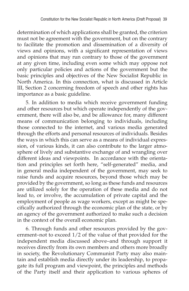determination of which applications shall be granted, the criterion must not be agreement with the government, but on the contrary to facilitate the promotion and dissemination of a diversity of views and opinions, with a significant representation of views and opinions that may run contrary to those of the government at any given time, including even some which may oppose not only particular policies and actions of the government but the basic principles and objectives of the New Socialist Republic in North America. In this connection, what is discussed in Article III, Section 2 concerning freedom of speech and other rights has importance as a basic guideline.

5. In addition to media which receive government funding and other resources but which operate independently of the government, there will also be, and be allowance for, many different means of communication belonging to individuals, including those connected to the internet, and various media generated through the efforts and personal resources of individuals. Besides the ways in which this can serve as a means of individual expression, of various kinds, it can also contribute to the larger atmosphere of lively and substantive exchange of and wrangling over different ideas and viewpoints. In accordance with the orientation and principles set forth here, "self-generated" media, and in general media independent of the government, may seek to raise funds and acquire resources, beyond those which may be provided by the government, so long as these funds and resources are utilized solely for the operation of these media and do not lead to, or involve, the accumulation of private capital and the employment of people as wage workers, except as might be specifically authorized through the economic plan of the state, or by an agency of the government authorized to make such a decision in the context of the overall economic plan.

6. Through funds and other resources provided by the government–not to exceed 1/2 of the value of that provided for the independent media discussed above–and through support it receives directly from its own members and others more broadly in society, the Revolutionary Communist Party may also maintain and establish media directly under its leadership, to propagate its full program and viewpoint, the principles and methods of the Party itself and their application to various spheres of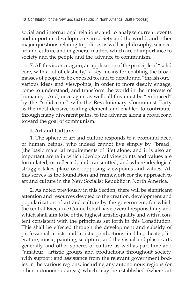social and international relations, and to analyze current events and important developments in society and the world, and other major questions relating to politics as well as philosophy, science, art and culture and in general matters which are of importance to society and the people and the advance to communism.

7. All this is, once again, an application of the principle of "solid core, with a lot of elasticity," a key means for enabling the broad masses of people to be exposed to, and to debate and "thrash out," various ideas and viewpoints, in order to more deeply engage, come to understand, and transform the world in the interests of humanity. And, once again as well, all this must be "embraced" by the "solid core"–with the Revolutionary Communist Party as the most decisive leading element–and enabled to contribute, through many divergent paths, to the advance along a broad road toward the goal of communism.

## **J. Art and Culture.**

1. The sphere of art and culture responds to a profound need of human beings, who indeed cannot live simply by "bread" (the basic material requirements of life) alone, and it is also an important arena in which ideological viewpoints and values are formulated, or reflected, and transmitted, and where ideological struggle takes place over opposing viewpoints and values. All this serves as the foundation and framework for the approach to art and culture in the New Socialist Republic in North America.

2. As noted previously in this Section, there will be significant attention and resources devoted to the creation, development and popularization of art and culture by the government, for which the central Executive Council shall have overall responsibility and which shall aim to be of the highest artistic quality and with a content consistent with the principles set forth in this Constitution. This shall be effected through the development and subsidy of professional artists and artistic productions–in film, theater, literature, music, painting, sculpture, and the visual and plastic arts generally, and other spheres of culture–as well as part-time and "amateur" artistic groups and productions throughout society, with support and assistance from the relevant government bodies in the various regions, including any autonomous regions (or other autonomous areas) which may be established (where art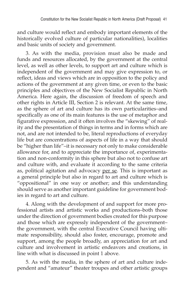and culture would reflect and embody important elements of the historically evolved culture of particular nationalities), localities and basic units of society and government.

3. As with the media, provision must also be made and funds and resources allocated, by the government at the central level, as well as other levels, to support art and culture which is independent of the government and may give expression to, or reflect, ideas and views which are in opposition to the policy and actions of the government at any given time, or even to the basic principles and objectives of the New Socialist Republic in North America. Here again, the discussion of freedom of speech and other rights in Article III, Section 2 is relevant. At the same time, as the sphere of art and culture has its own particularities–and specifically as one of its main features is the use of metaphor and figurative expression, and it often involves the "skewing" of reality and the presentation of things in terms and in forms which are not, and are not intended to be, literal reproductions of everyday life but are concentrations of aspects of life in a way that should be "higher than life"–it is necessary not only to make considerable allowance for, and to appreciate the importance of, experimentation and non-conformity in this sphere but also not to confuse art and culture with, and evaluate it according to the same criteria as, political agitation and advocacy per se. This is important as a general principle but also in regard to art and culture which is "oppositional" in one way or another; and this understanding should serve as another important guideline for government bodies in regard to art and culture.

4. Along with the development of and support for more professional artists and artistic works and productions–both those under the direction of government bodies created for this purpose and those which are expressly independent of the government– the government, with the central Executive Council having ultimate responsibility, should also foster, encourage, promote and support, among the people broadly, an appreciation for art and culture and involvement in artistic endeavors and creations, in line with what is discussed in point 1 above.

5. As with the media, in the sphere of art and culture independent and "amateur" theater troupes and other artistic groups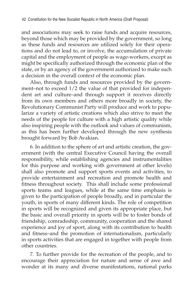and associations may seek to raise funds and acquire resources, beyond those which may be provided by the government, so long as these funds and resources are utilized solely for their operations and do not lead to, or involve, the accumulation of private capital and the employment of people as wage-workers, except as might be specifically authorized through the economic plan of the state, or by an agency of the government authorized to make such a decision in the overall context of the economic plan.

Also, through funds and resources provided by the government–not to exceed 1/2 the value of that provided for independent art and culture–and through support it receives directly from its own members and others more broadly in society, the Revolutionary Communist Party will produce and work to popularize a variety of artistic creations which also strive to meet the needs of the people for culture with a high artistic quality while also inspiring people with the outlook and values of communism, as this has been further developed through the new synthesis brought forward by Bob Avakian.

6. In addition to the sphere of art and artistic creation, the government (with the central Executive Council having the overall responsibility, while establishing agencies and instrumentalities for this purpose and working with government at other levels) shall also promote and support sports events and activities, to provide entertainment and recreation and promote health and fitness throughout society. This shall include some professional sports teams and leagues, while at the same time emphasis is given to the participation of people broadly, and in particular the youth, in sports of many different kinds. The role of competition in sports will be recognized and given its appropriate place, but the basic and overall priority in sports will be to foster bonds of friendship, comradeship, community, cooperation and the shared experience and joy of sport, along with its contribution to health and fitness–and the promotion of internationalism, particularly in sports activities that are engaged in together with people from other countries.

7. To further provide for the recreation of the people, and to encourage their appreciation for nature and sense of awe and wonder at its many and diverse manifestations, national parks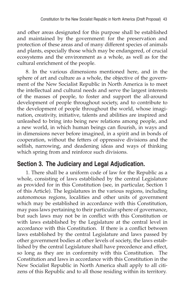and other areas designated for this purpose shall be established and maintained by the government: for the preservation and protection of these areas and of many different species of animals and plants, especially those which may be endangered, of crucial ecosystems and the environment as a whole, as well as for the cultural enrichment of the people.

8. In the various dimensions mentioned here, and in the sphere of art and culture as a whole, the objective of the government of the New Socialist Republic in North America is to meet the intellectual and cultural needs and serve the largest interests of the masses of people, to foster and support the all-around development of people throughout society, and to contribute to the development of people throughout the world, whose imagination, creativity, initiative, talents and abilities are inspired and unleashed to bring into being new relations among people, and a new world, in which human beings can flourish, in ways and in dimensions never before imagined, in a spirit and in bonds of cooperation, without the fetters of oppressive divisions and the selfish, narrowing, and deadening ideas and ways of thinking which spring from and reinforce such divisions.

# **Section 3. The Judiciary and Legal Adjudication.**

1. There shall be a uniform code of law for the Republic as a whole, consisting of laws established by the central Legislature as provided for in this Constitution (see, in particular, Section 1 of this Article). The legislatures in the various regions, including autonomous regions, localities and other units of government which may be established in accordance with this Constitution, may pass laws pertaining to their particular sphere of governance, but such laws may not be in conflict with this Constitution or with laws established by the Legislature at the central level in accordance with this Constitution. If there is a conflict between laws established by the central Legislature and laws passed by other government bodies at other levels of society, the laws established by the central Legislature shall have precedence and effect, so long as they are in conformity with this Constitution. The Constitution and laws in accordance with this Constitution in the New Socialist Republic in North America shall apply to all citizens of this Republic and to all those residing within its territory.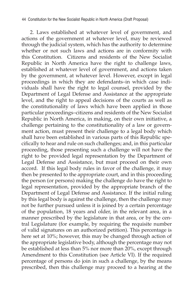44 Constitution for the New Socialist Republic in North America (Draft Proposal)

2. Laws established at whatever level of government, and actions of the government at whatever level, may be reviewed through the judicial system, which has the authority to determine whether or not such laws and actions are in conformity with this Constitution. Citizens and residents of the New Socialist Republic in North America have the right to challenge laws, established at whatever level of government, and actions taken by the government, at whatever level. However, except in legal proceedings in which they are defendants–in which case individuals shall have the right to legal counsel, provided by the Department of Legal Defense and Assistance at the appropriate level, and the right to appeal decisions of the courts as well as the constitutionality of laws which have been applied in those particular proceedings–citizens and residents of the New Socialist Republic in North America, in making, on their own initiative, a challenge pertaining to the constitutionality of a law or government action, must present their challenge to a legal body which shall have been established in various parts of this Republic specifically to hear and rule on such challenges; and, in this particular proceeding, those presenting such a challenge will not have the right to be provided legal representation by the Department of Legal Defense and Assistance, but must proceed on their own accord. If this legal body rules in favor of the challenge, it may then be presented to the appropriate court, and in this proceeding the person (or persons) making the challenge do have the right to legal representation, provided by the appropriate branch of the Department of Legal Defense and Assistance. If the initial ruling by this legal body is against the challenge, then the challenge may not be further pursued unless it is joined by a certain percentage of the population, 18 years and older, in the relevant area, in a manner prescribed by the legislature in that area, or by the central Legislature (for example, by requiring the requisite number of valid signatures on an authorized petition). This percentage is here set at 10%; however, this may be changed through action of the appropriate legislative body, although the percentage may not be established at less than 5% nor more than 20%, except through Amendment to this Constitution (see Article VI). If the required percentage of persons do join in such a challenge, by the means prescribed, then this challenge may proceed to a hearing at the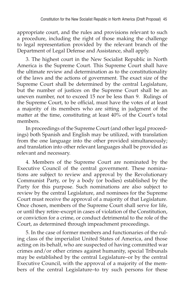appropriate court, and the rules and provisions relevant to such a procedure, including the right of those making the challenge to legal representation provided by the relevant branch of the Department of Legal Defense and Assistance, shall apply.

3. The highest court in the New Socialist Republic in North America is the Supreme Court. This Supreme Court shall have the ultimate review and determination as to the constitutionality of the laws and the actions of government. The exact size of the Supreme Court shall be determined by the central Legislature, but the number of justices on the Supreme Court shall be an uneven number, not to exceed 15 nor be less than 9. Rulings of the Supreme Court, to be official, must have the votes of at least a majority of its members who are sitting in judgment of the matter at the time, constituting at least 40% of the Court's total members.

In proceedings of the Supreme Court (and other legal proceedings) both Spanish and English may be utilized, with translation from the one language into the other provided simultaneously; and translation into other relevant languages shall be provided as relevant and necessary.

4. Members of the Supreme Court are nominated by the Executive Council of the central government. These nominations are subject to review and approval by the Revolutionary Communist Party, or by a body (or bodies) established by the Party for this purpose. Such nominations are also subject to review by the central Legislature, and nominees for the Supreme Court must receive the approval of a majority of that Legislature. Once chosen, members of the Supreme Court shall serve for life, or until they retire–except in cases of violation of the Constitution, or conviction for a crime, or conduct detrimental to the role of the Court, as determined through impeachment proceedings.

5. In the case of former members and functionaries of the ruling class of the imperialist United States of America, and those acting on its behalf, who are suspected of having committed war crimes and/or other crimes against humanity, special Tribunals may be established by the central Legislature–or by the central Executive Council, with the approval of a majority of the members of the central Legislature–to try such persons for these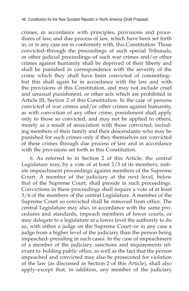crimes, in accordance with principles, provisions and procedures of law, and due process of law, which have been set forth in, or in any case are in conformity with, this Constitution. Those convicted–through the proceedings of such special Tribunals, or other judicial proceedings–of such war crimes and/or other crimes against humanity shall be deprived of their liberty and shall be punished in correspondence with the severity of the crime which they shall have been convicted of committing– but this shall again be in accordance with the law and with the provisions of this Constitution, and may not include cruel and unusual punishment, or other acts which are prohibited in Article III, Section 2 of this Constitution. In the case of persons convicted of war crimes and/or other crimes against humanity, as with conviction of any other crime, punishment shall apply only to those so convicted, and may not be applied to others, merely as a result of association with those convicted, including members of their family and their descendants–who may be punished for such crimes only if they themselves are convicted of these crimes through due process of law and in accordance with the provisions set forth in this Constitution.

6. As referred to in Section 2 of this Article, the central Legislature may, by a vote of at least 2/3 of its members, initiate impeachment proceedings against members of the Supreme Court. A member of the judiciary at the next level, below that of the Supreme Court, shall preside in such proceedings. Convictions in these proceedings shall require a vote of at least 3/4 of the members of the central Legislature. A member of the Supreme Court so convicted shall be removed from office. The central Legislature may also, in accordance with the same procedures and standards, impeach members of lower courts, or may delegate to a legislature at a lower level the authority to do so, with either a judge on the Supreme Court–or in any case a judge from a higher level of the judiciary than the person being impeached–presiding in such cases. In the case of impeachment of a member of the judiciary, sanctions and requirements relevant to holding public office, as well as the fact that the person impeached and convicted may also be prosecuted for violation of the law (as discussed in Section 2 of this Article), shall also apply–except that, in addition, any member of the judiciary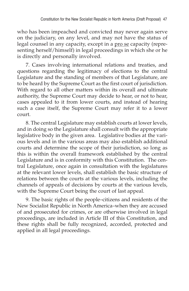who has been impeached and convicted may never again serve on the judiciary, on any level, and may not have the status of legal counsel in any capacity, except in a pro se capacity (representing herself/himself) in legal proceedings in which she or he is directly and personally involved.

7. Cases involving international relations and treaties, and questions regarding the legitimacy of elections to the central Legislature and the standing of members of that Legislature, are to be heard by the Supreme Court as the first court of jurisdiction. With regard to all other matters within its overall and ultimate authority, the Supreme Court may decide to hear, or not to hear, cases appealed to it from lower courts, and instead of hearing such a case itself, the Supreme Court may refer it to a lower court.

8. The central Legislature may establish courts at lower levels, and in doing so the Legislature shall consult with the appropriate legislative body in the given area. Legislative bodies at the various levels and in the various areas may also establish additional courts and determine the scope of their jurisdiction, so long as this is within the overall framework established by the central Legislature and is in conformity with this Constitution. The central Legislature, once again in consultation with the legislatures at the relevant lower levels, shall establish the basic structure of relations between the courts at the various levels, including the channels of appeals of decisions by courts at the various levels, with the Supreme Court being the court of last appeal.

9. The basic rights of the people–citizens and residents of the New Socialist Republic in North America–when they are accused of and prosecuted for crimes, or are otherwise involved in legal proceedings, are included in Article III of this Constitution, and these rights shall be fully recognized, accorded, protected and applied in all legal proceedings.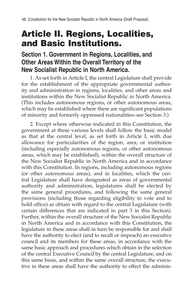# Article II. Regions, Localities, and Basic Institutions.

# **Section 1. Government in Regions, Localities, and Other Areas Within the Overall Territory of the New Socialist Republic in North America.**

1. As set forth in Article I, the central Legislature shall provide for the establishment of the appropriate governmental authority and administration in regions, localities, and other areas and institutions within the New Socialist Republic in North America. (This includes autonomous regions, or other autonomous areas, which may be established where there are significant populations of minority and formerly oppressed nationalities–see Section 3.)

2. Except where otherwise indicated in this Constitution, the government at these various levels shall follow the basic model as that at the central level, as set forth in Article I, with due allowance for particularities of the region, area, or institution (including especially autonomous regions, or other autonomous areas, which may be established), within the overall structure of the New Socialist Republic in North America and in accordance with this Constitution. In regions, including autonomous regions (or other autonomous areas), and in localities, which the central Legislature shall have designated as areas of governmental authority and administration, legislatures shall be elected by the same general procedures, and following the same general provisions (including those regarding eligibility to vote and to hold office) as obtain with regard to the central Legislature (with certain differences that are indicated in part 3 in this Section). Further, within the overall structure of the New Socialist Republic in North America and in accordance with this Constitution, the legislature in these areas shall in turn be responsible for and shall have the authority to elect (and to recall or impeach) an executive council and its members for these areas, in accordance with the same basic approach and procedures which obtain in the selection of the central Executive Council by the central Legislature; and on this same basis, and within the same overall structure, the executive in these areas shall have the authority to effect the adminis-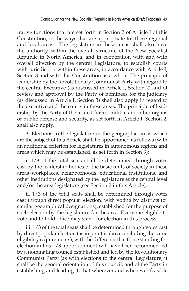trative functions that are set forth in Section 2 of Article I of this Constitution, in the ways that are appropriate for these regional and local areas. The legislature in these areas shall also have the authority, within the overall structure of the New Socialist Republic in North America, and in cooperation with and with overall direction by the central Legislature, to establish courts with jurisdiction within these areas, in accordance with Article I, Section 3 and with this Constitution as a whole. The principle of leadership by the Revolutionary Communist Party with regard to the central Executive (as discussed in Article I, Section 2) and of review and approval by the Party of nominees for the judiciary (as discussed in Article I, Section 3) shall also apply in regard to the executive and the courts in these areas. The principle of leadership by the Party of the armed forces, militia, and other organs of public defense and security, as set forth in Article I, Section 2, shall also apply.

3. Elections to the legislature in the geographic areas which are the subject of this Article shall be apportioned as follows (with an additional criterion for legislatures in autonomous regions and areas which may be established, as set forth in Section 3):

i. 1/3 of the total seats shall be determined through votes cast by the leadership bodies of the basic units of society in these areas–workplaces, neighborhoods, educational institutions, and other institutions designated by the legislature at the central level and/or the area legislature (see Section 2 in this Article).

ii. 1/3 of the total seats shall be determined through votes cast through direct popular election, with voting by districts (or similar geographical designations), established for the purpose of such election by the legislature for the area. Everyone eligible to vote and to hold office may stand for election in this process.

iii. 1/3 of the total seats shall be determined through votes cast by direct popular election (as in point ii above, including the same eligibility requirements), with the difference that those standing for election in this 1/3 apportionment will have been recommended by a nominating council established and led by the Revolutionary Communist Party (as with elections to the central Legislature, it shall be the general orientation of this council, and of the Party in establishing and leading it, that wherever and whenever feasible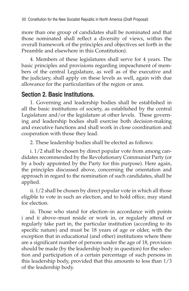more than one group of candidates shall be nominated and that those nominated shall reflect a diversity of views, within the overall framework of the principles and objectives set forth in the Preamble and elsewhere in this Constitution).

4. Members of these legislatures shall serve for 4 years. The basic principles and provisions regarding impeachment of members of the central Legislature, as well as of the executive and the judiciary, shall apply on these levels as well, again with due allowance for the particularities of the region or area.

# **Section 2. Basic Institutions.**

1. Governing and leadership bodies shall be established in all the basic institutions of society, as established by the central Legislature and/or the legislature at other levels. These governing and leadership bodies shall exercise both decision-making and executive functions and shall work in close coordination and cooperation with those they lead.

2. These leadership bodies shall be elected as follows:

i. 1/2 shall be chosen by direct popular vote from among candidates recommended by the Revolutionary Communist Party (or by a body appointed by the Party for this purpose). Here again, the principles discussed above, concerning the orientation and approach in regard to the nomination of such candidates, shall be applied.

ii. 1/2 shall be chosen by direct popular vote in which all those eligible to vote in such an election, and to hold office, may stand for election.

iii. Those who stand for election–in accordance with points i and ii above–must reside or work in, or regularly attend or regularly take part in, the particular institution (according to its specific nature) and must be 18 years of age or older, with the exception that in educational (and other) institutions where there are a significant number of persons under the age of 18, provision should be made (by the leadership body in question) for the selection and participation of a certain percentage of such persons in this leadership body, provided that this amounts to less than 1/3 of the leadership body.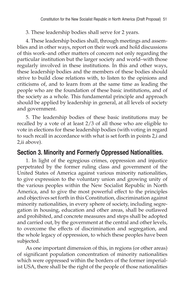# 3. These leadership bodies shall serve for 2 years.

4. These leadership bodies shall, through meetings and assemblies and in other ways, report on their work and hold discussions of this work–and other matters of concern not only regarding the particular institution but the larger society and world–with those regularly involved in these institutions. In this and other ways, these leadership bodies and the members of these bodies should strive to build close relations with, to listen to the opinions and criticisms of, and to learn from at the same time as leading the people who are the foundation of these basic institutions, and of the society as a whole. This fundamental principle and approach should be applied by leadership in general, at all levels of society and government.

5. The leadership bodies of these basic institutions may be recalled by a vote of at least 2/3 of all those who are eligible to vote in elections for these leadership bodies (with voting in regard to such recall in accordance with what is set forth in points 2,i and 2,ii above).

# **Section 3. Minority and Formerly Oppressed Nationalities.**

1. In light of the egregious crimes, oppression and injustice perpetrated by the former ruling class and government of the United States of America against various minority nationalities, to give expression to the voluntary union and growing unity of the various peoples within the New Socialist Republic in North America, and to give the most powerful effect to the principles and objectives set forth in this Constitution, discrimination against minority nationalities, in every sphere of society, including segregation in housing, education and other areas, shall be outlawed and prohibited, and concrete measures and steps shall be adopted and carried out, by the government at the central and other levels, to overcome the effects of discrimination and segregation, and the whole legacy of oppression, to which these peoples have been subjected.

As one important dimension of this, in regions (or other areas) of significant population concentration of minority nationalities which were oppressed within the borders of the former imperialist USA, there shall be the right of the people of those nationalities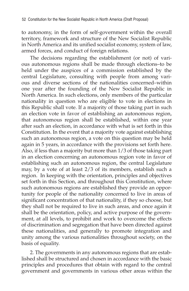to autonomy, in the form of self-government within the overall territory, framework and structure of the New Socialist Republic in North America and its unified socialist economy, system of law, armed forces, and conduct of foreign relations.

The decisions regarding the establishment (or not) of various autonomous regions shall be made through elections–to be held under the auspices of a commission established by the central Legislature, consulting with people from among various and diverse sections of the nationalities concerned–within one year after the founding of the New Socialist Republic in North America. In such elections, only members of the particular nationality in question who are eligible to vote in elections in this Republic shall vote. If a majority of those taking part in such an election vote in favor of establishing an autonomous region, that autonomous region shall be established, within one year after such an election, in accordance with what is set forth in this Constitution. In the event that a majority vote against establishing such an autonomous region, a vote on this question may be held again in 5 years, in accordance with the provisions set forth here. Also, if less than a majority but more than 1/3 of those taking part in an election concerning an autonomous region vote in favor of establishing such an autonomous region, the central Legislature may, by a vote of at least 2/3 of its members, establish such a region. In keeping with the orientation, principles and objectives set forth in this Section, and throughout this Constitution, where such autonomous regions are established they provide an opportunity for people of the nationality concerned to live in areas of significant concentration of that nationality, if they so choose, but they shall not be required to live in such areas, and once again it shall be the orientation, policy, and active purpose of the government, at all levels, to prohibit and work to overcome the effects of discrimination and segregation that have been directed against these nationalities, and generally to promote integration and unity among the various nationalities throughout society, on the basis of equality.

2. The governments in any autonomous regions that are established shall be structured and chosen in accordance with the basic principles and procedures that obtain with regard to the central government and governments in various other areas within the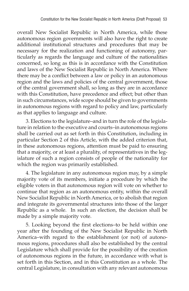overall New Socialist Republic in North America, while these autonomous region governments will also have the right to create additional institutional structures and procedures that may be necessary for the realization and functioning of autonomy, particularly as regards the language and culture of the nationalities concerned, so long as this is in accordance with the Constitution and laws of the New Socialist Republic in North America. Where there may be a conflict between a law or policy in an autonomous region and the laws and policies of the central government, those of the central government shall, so long as they are in accordance with this Constitution, have precedence and effect; but other than in such circumstances, wide scope should be given to governments in autonomous regions with regard to policy and law, particularly as that applies to language and culture.

3. Elections to the legislature–and in turn the role of the legislature in relation to the executive and courts–in autonomous regions shall be carried out as set forth in this Constitution, including in particular Section 2 of this Article, with the added criterion that, in these autonomous regions, attention must be paid to ensuring that a majority, or at least a plurality, of representatives in the legislature of such a region consists of people of the nationality for which the region was primarily established.

4. The legislature in any autonomous region may, by a simple majority vote of its members, initiate a procedure by which the eligible voters in that autonomous region will vote on whether to continue that region as an autonomous entity, within the overall New Socialist Republic in North America, or to abolish that region and integrate its governmental structures into those of the larger Republic as a whole. In such an election, the decision shall be made by a simple majority vote.

5. Looking beyond the first elections–to be held within one year after the founding of the New Socialist Republic in North America–with regard to the establishment (or not) of autonomous regions, procedures shall also be established by the central Legislature which shall provide for the possibility of the creation of autonomous regions in the future, in accordance with what is set forth in this Section, and in this Constitution as a whole. The central Legislature, in consultation with any relevant autonomous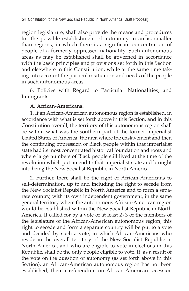region legislature, shall also provide the means and procedures for the possible establishment of autonomy in areas, smaller than regions, in which there is a significant concentration of people of a formerly oppressed nationality. Such autonomous areas as may be established shall be governed in accordance with the basic principles and provisions set forth in this Section and elsewhere in this Constitution, while at the same time taking into account the particular situation and needs of the people in such autonomous areas.

6. Policies with Regard to Particular Nationalities, and Immigrants.

## **A. African-Americans.**

1. If an African-American autonomous region is established, in accordance with what is set forth above in this Section, and in this Constitution overall, the territory of this autonomous region shall be within what was the southern part of the former imperialist United States of America–the area where the enslavement and then the continuing oppression of Black people within that imperialist state had its most concentrated historical foundation and roots and where large numbers of Black people still lived at the time of the revolution which put an end to that imperialist state and brought into being the New Socialist Republic in North America.

2. Further, there shall be the right of African-Americans to self-determination, up to and including the right to secede from the New Socialist Republic in North America and to form a separate country, with its own independent government, in the same general territory where the autonomous African-American region would be established within the New Socialist Republic in North America. If called for by a vote of at least 2/3 of the members of the legislature of the African-American autonomous region, this right to secede and form a separate country will be put to a vote and decided by such a vote, in which African-Americans who reside in the overall territory of the New Socialist Republic in North America, and who are eligible to vote in elections in this Republic, shall be the only people eligible to vote. If, as a result of the vote on the question of autonomy (as set forth above in this Section), an African-American autonomous region has not been established, then a referendum on African-American secession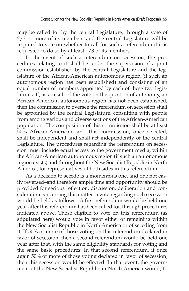may be called for by the central Legislature, through a vote of 2/3 or more of its members–and the central Legislature will be required to vote on whether to call for such a referendum if it is requested to do so by at least 1/3 of its members.

In the event of such a referendum on secession, the procedures relating to it shall be under the supervision of a joint commission established by the central Legislature and the legislature of the African-American autonomous region (if such an autonomous region has been established) and consisting of an equal number of members appointed by each of these two legislatures. If, as a result of the vote on the question of autonomy, an African-American autonomous region has not been established, then the commission to oversee the referendum on secession shall be appointed by the central Legislature, consulting with people from among various and diverse sections of the African-American population. The composition of this commission shall be at least 50% African-American, and this commission, once selected, shall be independent and shall act independently of the central Legislature. The procedures regarding the referendum on secession must include equal access to the government media, within the African-American autonomous region (if such an autonomous region exists) and throughout the New Socialist Republic in North America, for representatives of both sides in this referendum.

As a decision to secede is a momentous one, and one not easily reversed–and therefore ample time and opportunity should be provided for serious reflection, discussion, deliberation and consideration concerning this matter–a vote regarding such secession would be held as follows. A first referendum would be held one year after this referendum has been called for, through procedures indicated above. Those eligible to vote on this referendum (as stipulated here) would vote in favor either of remaining within the New Socialist Republic in North America or of seceding from it. If 50% or more of those voting on this referendum declared in favor of secession, then a second referendum would be held one year after that, with the same eligibility standards for voting and the same basic procedures. In that second referendum, if once again 50% or more of those voting declared in favor of secession, then this secession would be effected. In that event, the government of the New Socialist Republic in North America would, to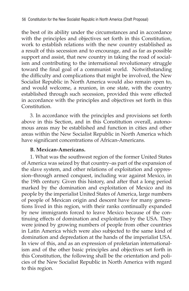the best of its ability under the circumstances and in accordance with the principles and objectives set forth in this Constitution, work to establish relations with the new country established as a result of this secession and to encourage, and as far as possible support and assist, that new country in taking the road of socialism and contributing to the international revolutionary struggle toward the final goal of a communist world. Notwithstanding the difficulty and complications that might be involved, the New Socialist Republic in North America would also remain open to, and would welcome, a reunion, in one state, with the country established through such secession, provided this were effected in accordance with the principles and objectives set forth in this Constitution.

3. In accordance with the principles and provisions set forth above in this Section, and in this Constitution overall, autonomous areas may be established and function in cities and other areas within the New Socialist Republic in North America which have significant concentrations of African-Americans.

### **B. Mexican-Americans.**

1. What was the southwest region of the former United States of America was seized by that country–as part of the expansion of the slave system, and other relations of exploitation and oppression–through armed conquest, including war against Mexico, in the 19th century. Given this history, and after that a long period marked by the domination and exploitation of Mexico and its people by the imperialist United States of America, large numbers of people of Mexican origin and descent have for many generations lived in this region, with their ranks continually expanded by new immigrants forced to leave Mexico because of the continuing effects of domination and exploitation by the USA. They were joined by growing numbers of people from other countries in Latin America which were also subjected to the same kind of domination and depredation at the hands of the imperialist USA. In view of this, and as an expression of proletarian internationalism and of the other basic principles and objectives set forth in this Constitution, the following shall be the orientation and policies of the New Socialist Republic in North America with regard to this region.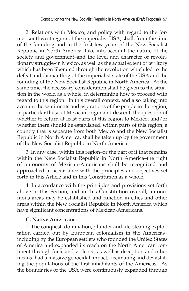2. Relations with Mexico, and policy with regard to the former southwest region of the imperialist USA, shall, from the time of the founding and in the first few years of the New Socialist Republic in North America, take into account the nature of the society and government–and the level and character of revolutionary struggle–in Mexico, as well as the actual extent of territory which has been liberated through the revolution which led to the defeat and dismantling of the imperialist state of the USA and the founding of the New Socialist Republic in North America. At the same time, the necessary consideration shall be given to the situation in the world as a whole, in determining how to proceed with regard to this region. In this overall context, and also taking into account the sentiments and aspirations of the people in the region, in particular those of Mexican origin and descent, the question of whether to return at least parts of this region to Mexico, and/or whether there should be established, within parts of this region, a country that is separate from both Mexico and the New Socialist Republic in North America, shall be taken up by the government of the New Socialist Republic in North America.

3. In any case, within this region–or the part of it that remains within the New Socialist Republic in North America–the right of autonomy of Mexican-Americans shall be recognized and approached in accordance with the principles and objectives set forth in this Article and in this Constitution as a whole.

4. In accordance with the principles and provisions set forth above in this Section, and in this Constitution overall, autonomous areas may be established and function in cities and other areas within the New Socialist Republic in North America which have significant concentrations of Mexican-Americans.

### **C. Native Americans.**

1. The conquest, domination, plunder and life-stealing exploitation carried out by European colonialism in the Americas– including by the European settlers who founded the United States of America and expanded its reach on the North American continent through force and violence, as well as deception and other means–had a massive genocidal impact, decimating and devastating the populations of the first inhabitants of the Americas. As the boundaries of the USA were continuously expanded through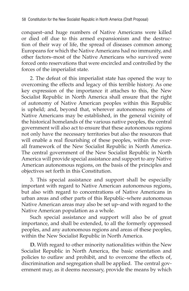conquest–and huge numbers of Native Americans were killed or died off due to this armed expansionism and the destruction of their way of life, the spread of diseases common among Europeans for which the Native Americans had no immunity, and other factors–most of the Native Americans who survived were forced onto reservations that were encircled and controlled by the forces of the imperialist state.

2. The defeat of this imperialist state has opened the way to overcoming the effects and legacy of this terrible history. As one key expression of the importance it attaches to this, the New Socialist Republic in North America shall ensure that the right of autonomy of Native American peoples within this Republic is upheld; and, beyond that, wherever autonomous regions of Native Americans may be established, in the general vicinity of the historical homelands of the various native peoples, the central government will also act to ensure that these autonomous regions not only have the necessary territories but also the resources that will enable a real flourishing of these peoples, within the overall framework of the New Socialist Republic in North America. The central government of the New Socialist Republic in North America will provide special assistance and support to any Native American autonomous regions, on the basis of the principles and objectives set forth in this Constitution.

3. This special assistance and support shall be especially important with regard to Native American autonomous regions, but also with regard to concentrations of Native Americans in urban areas and other parts of this Republic–where autonomous Native American areas may also be set up–and with regard to the Native American population as a whole.

Such special assistance and support will also be of great importance, and shall be extended, to all the formerly oppressed peoples, and any autonomous regions and areas of these peoples, within the New Socialist Republic in North America.

**D.** With regard to other minority nationalities within the New Socialist Republic in North America, the basic orientation and policies to outlaw and prohibit, and to overcome the effects of, discrimination and segregation shall be applied. The central government may, as it deems necessary, provide the means by which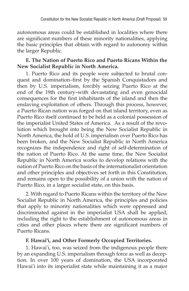autonomous areas could be established in localities where there are significant numbers of these minority nationalities, applying the basic principles that obtain with regard to autonomy within the larger Republic.

## **E. The Nation of Puerto Rico and Puerto Ricans Within the New Socialist Republic in North America.**

1. Puerto Rico and its people were subjected to brutal conquest and domination–first by the Spanish Conquistadors and then by U.S. imperialism, forcibly seizing Puerto Rico at the end of the 19th century–with devastating and even genocidal consequences for the first inhabitants of the island and then the enslaving exploitation of others. Through this process, however, a Puerto Rican nation was forged on that island territory, even as Puerto Rico itself continued to be held as a colonial possession of the imperialist United States of America. As a result of the revolution which brought into being the New Socialist Republic in North America, the hold of U.S. imperialism over Puerto Rico has been broken, and the New Socialist Republic in North America recognizes the independence and right of self-determination of the nation of Puerto Rico. At the same time, the New Socialist Republic in North America works to develop relations with the nation of Puerto Rico on the basis of the internationalist orientation and other principles and objectives set forth in this Constitution, and remains open to the possibility of a union with the nation of Puerto Rico, in a larger socialist state, on this basis.

2. With regard to Puerto Ricans within the territory of the New Socialist Republic in North America, the principles and policies that apply to minority nationalities which were oppressed and discriminated against in the imperialist USA shall be applied, including the right to the establishment of autonomous areas in cities and other places where there are significant numbers of Puerto Ricans.

# **F. Hawai'i, and Other Formerly Occupied Territories.**

1. Hawai'i, too, was seized from the indigenous people there by an expanding U.S. imperialism through force as well as deception. In over 100 years of domination, the USA incorporated Hawai'i into its imperialist state while maintaining it as a major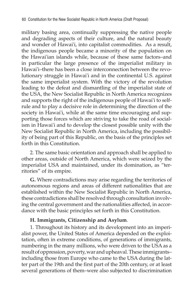military basing area, continually suppressing the native people and degrading aspects of their culture, and the natural beauty and wonder of Hawai'i, into capitalist commodities. As a result, the indigenous people became a minority of the population on the Hawai'ian islands while, because of these same factors–and in particular the large presence of the imperialist military in Hawai'i–there has been a close interconnection between the revolutionary struggle in Hawai'i and in the continental U.S. against the same imperialist system. With the victory of the revolution leading to the defeat and dismantling of the imperialist state of the USA, the New Socialist Republic in North America recognizes and supports the right of the indigenous people of Hawai'i to selfrule and to play a decisive role in determining the direction of the society in Hawai'i, while at the same time encouraging and supporting those forces which are striving to take the road of socialism in Hawai'i and to develop the closest possible unity with the New Socialist Republic in North America, including the possibility of being part of this Republic, on the basis of the principles set forth in this Constitution.

2. The same basic orientation and approach shall be applied to other areas, outside of North America, which were seized by the imperialist USA and maintained, under its domination, as "territories" of its empire.

**G.** Where contradictions may arise regarding the territories of autonomous regions and areas of different nationalities that are established within the New Socialist Republic in North America, these contradictions shall be resolved through consultation involving the central government and the nationalities affected, in accordance with the basic principles set forth in this Constitution.

# **H. Immigrants, Citizenship and Asylum**.

1. Throughout its history and its development into an imperialist power, the United States of America depended on the exploitation, often in extreme conditions, of generations of immigrants, numbering in the many millions, who were driven to the USA as a result of oppression, poverty, war and upheaval. These immigrants– including those from Europe who came to the USA during the latter part of the 19th and the first part of the 20th century, or at least several generations of them–were also subjected to discrimination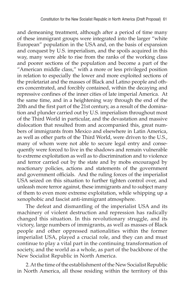and demeaning treatment, although after a period of time many of these immigrant groups were integrated into the larger "white European" population in the USA and, on the basis of expansion and conquest by U.S. imperialism, and the spoils acquired in this way, many were able to rise from the ranks of the working class and poorer sections of the population and become a part of the "American middle class," with a more or less privileged position in relation to especially the lower and more exploited sections of the proletariat and the masses of Black and Latino people and others concentrated, and forcibly contained, within the decaying and repressive confines of the inner cities of late imperial America. At the same time, and in a heightening way through the end of the 20th and the first part of the 21st century, as a result of the domination and plunder carried out by U.S. imperialism throughout most of the Third World in particular, and the devastation and massive dislocation that resulted from and accompanied this, great numbers of immigrants from Mexico and elsewhere in Latin America, as well as other parts of the Third World, were driven to the U.S., many of whom were not able to secure legal entry and consequently were forced to live in the shadows and remain vulnerable to extreme exploitation as well as to discrimination and to violence and terror carried out by the state and by mobs encouraged by reactionary policies, actions and statements of the government and government officials. And the ruling forces of the imperialist USA seized on this situation to further tighten control over, and unleash more terror against, these immigrants and to subject many of them to even more extreme exploitation, while whipping up a xenophobic and fascist anti-immigrant atmosphere.

The defeat and dismantling of the imperialist USA and its machinery of violent destruction and repression has radically changed this situation. In this revolutionary struggle, and its victory, large numbers of immigrants, as well as masses of Black people and other oppressed nationalities within the former imperialist USA, played a crucial role, and they can and must continue to play a vital part in the continuing transformation of society, and the world as a whole, as part of the backbone of the New Socialist Republic in North America.

2. At the time of the establishment of the New Socialist Republic in North America, all those residing within the territory of this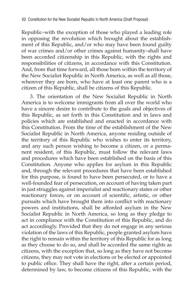Republic–with the exception of those who played a leading role in opposing the revolution which brought about the establishment of this Republic, and/or who may have been found guilty of war crimes and/or other crimes against humanity–shall have been accorded citizenship in this Republic, with the rights and responsibilities of citizens, in accordance with this Constitution. And, from that time forward, all those born within the territory of the New Socialist Republic in North America, as well as all those, wherever they are born, who have at least one parent who is a citizen of this Republic, shall be citizens of this Republic.

3. The orientation of the New Socialist Republic in North America is to welcome immigrants from all over the world who have a sincere desire to contribute to the goals and objectives of this Republic, as set forth in this Constitution and in laws and policies which are established and enacted in accordance with this Constitution. From the time of the establishment of the New Socialist Republic in North America, anyone residing outside of the territory of this Republic who wishes to enter its territory, and any such person wishing to become a citizen, or a permanent resident, of this Republic, must follow the relevant laws and procedures which have been established on the basis of this Constitution. Anyone who applies for asylum in this Republic and, through the relevant procedures that have been established for this purpose, is found to have been persecuted, or to have a well-founded fear of persecution, on account of having taken part in just struggles against imperialist and reactionary states or other reactionary forces, or on account of scientific, artistic, or other pursuits which have brought them into conflict with reactionary powers and institutions, shall be afforded asylum in the New Socialist Republic in North America, so long as they pledge to act in compliance with the Constitution of this Republic, and do act accordingly. Provided that they do not engage in any serious violation of the laws of this Republic, people granted asylum have the right to remain within the territory of this Republic for as long as they choose to do so, and shall be accorded the same rights as citizens, with the exception that, so long as they have not become citizens, they may not vote in elections or be elected or appointed to public office. They shall have the right, after a certain period, determined by law, to become citizens of this Republic, with the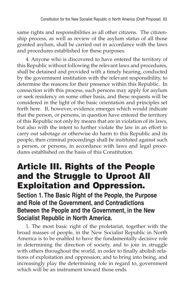same rights and responsibilities as all other citizens. The citizenship process, as well as review of the asylum status of all those granted asylum, shall be carried out in accordance with the laws and procedures established for these purposes.

4. Anyone who is discovered to have entered the territory of this Republic without following the relevant laws and procedures, shall be detained and provided with a timely hearing, conducted by the government institution with the relevant responsibility, to determine the reasons for their presence within this Republic. In connection with this process, such persons may apply for asylum or seek residency on some other basis, and these requests will be considered in the light of the basic orientation and principles set forth here. If, however, evidence emerges which would indicate that the person, or persons, in question have entered the territory of this Republic not only by means that are in violation of its laws, but also with the intent to further violate the law in an effort to carry out sabotage or otherwise do harm to this Republic and its people, then criminal proceedings shall be instituted against such a person, or persons, in accordance with laws and legal procedures established on the basis of this Constitution.

# Article III. Rights of the People and the Struggle to Uproot All Exploitation and Oppression.

**Section 1. The Basic Right of the People, the Purpose and Role of the Government, and Contradictions Between the People and the Government, in the New Socialist Republic in North America.**

1. The most basic right of the proletariat, together with the broad masses of people, in the New Socialist Republic in North America is to be enabled to have the fundamentally decisive role in determining the direction of society, and to join in struggle with others throughout the world, in order to finally abolish relations of exploitation and oppression; and to bring into being, and increasingly play the determining role in regard to, government which will be an instrument toward those ends.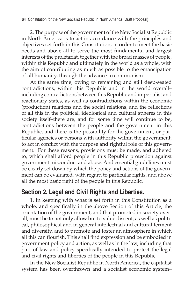2. The purpose of the government of the New Socialist Republic in North America is to act in accordance with the principles and objectives set forth in this Constitution, in order to meet the basic needs and above all to serve the most fundamental and largest interests of the proletariat, together with the broad masses of people, within this Republic and ultimately in the world as a whole, with the aim of contributing as much as possible to the emancipation of all humanity, through the advance to communism.

At the same time, owing to remaining and still deep-seated contradictions, within this Republic and in the world overall– including contradictions between this Republic and imperialist and reactionary states, as well as contradictions within the economic (production) relations and the social relations, and the reflections of all this in the political, ideological and cultural spheres in this society itself–there are, and for some time will continue to be, contradictions between the people and the government in this Republic, and there is the possibility for the government, or particular agencies or persons with authority within the government, to act in conflict with the purpose and rightful role of this government. For these reasons, provisions must be made, and adhered to, which shall afford people in this Republic protection against government misconduct and abuse. And essential guidelines must be clearly set down by which the policy and actions of the government can be evaluated, with regard to particular rights, and above all the most basic right of the people in this Republic.

# **Section 2. Legal and Civil Rights and Liberties.**

1. In keeping with what is set forth in this Constitution as a whole, and specifically in the above Section of this Article, the orientation of the government, and that promoted in society overall, must be to not only allow but to value dissent, as well as political, philosophical and in general intellectual and cultural ferment and diversity, and to promote and foster an atmosphere in which all this can flourish. This shall find expression and be embodied in government policy and action, as well as in the law, including that part of law and policy specifically intended to protect the legal and civil rights and liberties of the people in this Republic.

In the New Socialist Republic in North America, the capitalist system has been overthrown and a socialist economic system–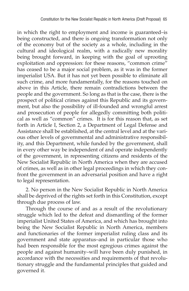in which the right to employment and income is guaranteed–is being constructed, and there is ongoing transformation not only of the economy but of the society as a whole, including in the cultural and ideological realm, with a radically new morality being brought forward, in keeping with the goal of uprooting exploitation and oppression: for these reasons, "common crime" has ceased to be a major social problem, as it was in the former imperialist USA. But it has not yet been possible to eliminate all such crime, and more fundamentally, for the reasons touched on above in this Article, there remain contradictions between the people and the government. So long as that is the case, there is the prospect of political crimes against this Republic and its government, but also the possibility of ill-founded and wrongful arrest and prosecution of people for allegedly committing both political as well as "common" crimes. It is for this reason that, as set forth in Article I, Section 2, a Department of Legal Defense and Assistance shall be established, at the central level and at the various other levels of governmental and administrative responsibility, and this Department, while funded by the government, shall in every other way be independent of and operate independently of the government, in representing citizens and residents of the New Socialist Republic in North America when they are accused of crimes, as well as in other legal proceedings in which they confront the government in an adversarial position and have a right to legal representation.

2. No person in the New Socialist Republic in North America shall be deprived of the rights set forth in this Constitution, except through due process of law.

Through the course of and as a result of the revolutionary struggle which led to the defeat and dismantling of the former imperialist United States of America, and which has brought into being the New Socialist Republic in North America, members and functionaries of the former imperialist ruling class and its government and state apparatus–and in particular those who had been responsible for the most egregious crimes against the people and against humanity–will have been duly punished, in accordance with the necessities and requirements of that revolutionary struggle and the fundamental principles that guided and governed it.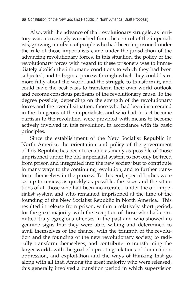Also, with the advance of that revolutionary struggle, as territory was increasingly wrenched from the control of the imperialists, growing numbers of people who had been imprisoned under the rule of those imperialists came under the jurisdiction of the advancing revolutionary forces. In this situation, the policy of the revolutionary forces with regard to these prisoners was to immediately abolish the inhumane conditions to which they had been subjected, and to begin a process through which they could learn more fully about the world and the struggle to transform it, and could have the best basis to transform their own world outlook and become conscious partisans of the revolutionary cause. To the degree possible, depending on the strength of the revolutionary forces and the overall situation, those who had been incarcerated in the dungeons of the imperialists, and who had in fact become partisan to the revolution, were provided with means to become actively involved in this revolution, in accordance with its basic principles.

Since the establishment of the New Socialist Republic in North America, the orientation and policy of the government of this Republic has been to enable as many as possible of those imprisoned under the old imperialist system to not only be freed from prison and integrated into the new society but to contribute in many ways to the continuing revolution, and to further transform themselves in the process. To this end, special bodies were set up to review, as quickly as possible, the cases and the situations of all those who had been incarcerated under the old imperialist system and who remained imprisoned at the time of the founding of the New Socialist Republic in North America. This resulted in release from prison, within a relatively short period, for the great majority–with the exception of those who had committed truly egregious offenses in the past and who showed no genuine signs that they were able, willing and determined to avail themselves of the chance, with the triumph of the revolution and the founding of the new revolutionary society, to radically transform themselves, and contribute to transforming the larger world, with the goal of uprooting relations of domination, oppression, and exploitation and the ways of thinking that go along with all that. Among the great majority who were released, this generally involved a transition period in which supervision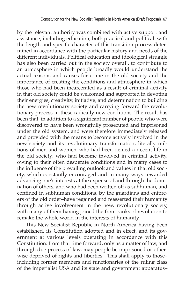by the relevant authority was combined with active support and assistance, including education, both practical and political–with the length and specific character of this transition process determined in accordance with the particular history and needs of the different individuals. Political education and ideological struggle has also been carried out in the society overall, to contribute to an atmosphere in which people broadly would understand the actual reasons and causes for crime in the old society and the importance of creating the conditions and atmosphere in which those who had been incarcerated as a result of criminal activity in that old society could be welcomed and supported in devoting their energies, creativity, initiative, and determination to building the new revolutionary society and carrying forward the revolutionary process in these radically new conditions. The result has been that, in addition to a significant number of people who were discovered to have been wrongfully prosecuted and imprisoned under the old system, and were therefore immediately released and provided with the means to become actively involved in the new society and its revolutionary transformation, literally millions of men and women–who had been denied a decent life in the old society; who had become involved in criminal activity, owing to their often desperate conditions and in many cases to the influence of the prevailing outlook and values in that old society, which constantly encouraged and in many ways rewarded advancing one's interests at the expense of and through the domination of others; and who had been written off as subhuman, and confined in subhuman conditions, by the guardians and enforcers of the old order–have regained and reasserted their humanity through active involvement in the new, revolutionary society, with many of them having joined the front ranks of revolution to remake the whole world in the interests of humanity.

This New Socialist Republic in North America having been established, its Constitution adopted and in effect, and its government at various levels operating in accordance with this Constitution: from that time forward, only as a matter of law, and through due process of law, may people be imprisoned or otherwise deprived of rights and liberties. This shall apply to those– including former members and functionaries of the ruling class of the imperialist USA and its state and government apparatus–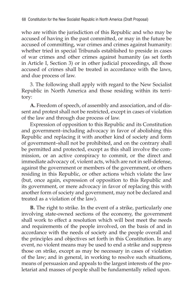who are within the jurisdiction of this Republic and who may be accused of having in the past committed, or may in the future be accused of committing, war crimes and crimes against humanity: whether tried in special Tribunals established to preside in cases of war crimes and other crimes against humanity (as set forth in Article I, Section 3) or in other judicial proceedings, all those accused of crimes shall be treated in accordance with the laws, and due process of law.

3. The following shall apply with regard to the New Socialist Republic in North America and those residing within its territory:

**A.** Freedom of speech, of assembly and association, and of dissent and protest shall not be restricted, except in cases of violation of the law and through due process of law.

Expression of opposition to this Republic and its Constitution and government–including advocacy in favor of abolishing this Republic and replacing it with another kind of society and form of government–shall not be prohibited, and on the contrary shall be permitted and protected, except as this shall involve the commission, or an active conspiracy to commit, or the direct and immediate advocacy of, violent acts, which are not in self-defense, against the government or members of the government, or others residing in this Republic, or other actions which violate the law (but, once again, expression of opposition to this Republic and its government, or mere advocacy in favor of replacing this with another form of society and government, may not be declared and treated as a violation of the law).

**B.** The right to strike. In the event of a strike, particularly one involving state-owned sections of the economy, the government shall work to effect a resolution which will best meet the needs and requirements of the people involved, on the basis of and in accordance with the needs of society and the people overall and the principles and objectives set forth in this Constitution. In any event, no violent means may be used to end a strike and suppress those on strike, except as may be necessary in cases of violation of the law; and in general, in working to resolve such situations, means of persuasion and appeals to the largest interests of the proletariat and masses of people shall be fundamentally relied upon.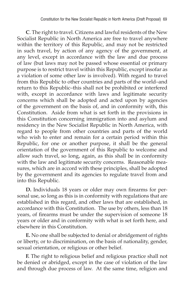**C**. The right to travel. Citizens and lawful residents of the New Socialist Republic in North America are free to travel anywhere within the territory of this Republic, and may not be restricted in such travel, by action of any agency of the government, at any level, except in accordance with the law and due process of law (but laws may not be passed whose essential or primary purpose is to restrict travel within this Republic, except insofar as a violation of some other law is involved). With regard to travel from this Republic to other countries and parts of the world–and return to this Republic–this shall not be prohibited or interfered with, except in accordance with laws and legitimate security concerns which shall be adopted and acted upon by agencies of the government on the basis of, and in conformity with, this Constitution. Aside from what is set forth in the provisions in this Constitution concerning immigration into and asylum and residency in the New Socialist Republic in North America, with regard to people from other countries and parts of the world who wish to enter and remain for a certain period within this Republic, for one or another purpose, it shall be the general orientation of the government of this Republic to welcome and allow such travel, so long, again, as this shall be in conformity with the law and legitimate security concerns. Reasonable measures, which are in accord with these principles, shall be adopted by the government and its agencies to regulate travel from and into this Republic.

**D.** Individuals 18 years or older may own firearms for personal use, so long as this is in conformity with regulations that are established in this regard, and other laws that are established, in accordance with this Constitution. The use by others, less than 18 years, of firearms must be under the supervision of someone 18 years or older and in conformity with what is set forth here, and elsewhere in this Constitution.

**E.** No one shall be subjected to denial or abridgement of rights or liberty, or to discrimination, on the basis of nationality, gender, sexual orientation, or religious or other belief.

**F.** The right to religious belief and religious practice shall not be denied or abridged, except in the case of violation of the law and through due process of law. At the same time, religion and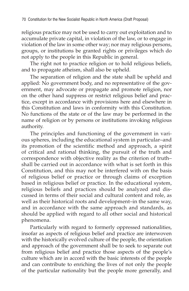religious practice may not be used to carry out exploitation and to accumulate private capital, in violation of the law, or to engage in violation of the law in some other way; nor may religious persons, groups, or institutions be granted rights or privileges which do not apply to the people in this Republic in general.

The right not to practice religion or to hold religious beliefs, and to propagate atheism, shall also be upheld.

The separation of religion and the state shall be upheld and applied: No government body, and no representative of the government, may advocate or propagate and promote religion, nor on the other hand suppress or restrict religious belief and practice, except in accordance with provisions here and elsewhere in this Constitution and laws in conformity with this Constitution. No functions of the state or of the law may be performed in the name of religion or by persons or institutions invoking religious authority.

The principles and functioning of the government in various spheres, including the educational system in particular–and its promotion of the scientific method and approach, a spirit of critical and rational thinking, the pursuit of the truth and correspondence with objective reality as the criterion of truth– shall be carried out in accordance with what is set forth in this Constitution, and this may not be interfered with on the basis of religious belief or practice or through claims of exception based in religious belief or practice. In the educational system, religious beliefs and practices should be analyzed and discussed in terms of their social and cultural content and role, as well as their historical roots and development–in the same way, and in accordance with the same approach and standards, as should be applied with regard to all other social and historical phenomena.

Particularly with regard to formerly oppressed nationalities, insofar as aspects of religious belief and practice are interwoven with the historically evolved culture of the people, the orientation and approach of the government shall be to seek to separate out from religious belief and practice those aspects of the people's culture which are in accord with the basic interests of the people and can contribute to enriching the lives of not only the people of the particular nationality but the people more generally, and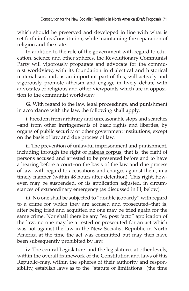which should be preserved and developed in line with what is set forth in this Constitution, while maintaining the separation of religion and the state.

In addition to the role of the government with regard to education, science and other spheres, the Revolutionary Communist Party will vigorously propagate and advocate for the communist worldview, with its foundation in dialectical and historical materialism, and, as an important part of this, will actively and vigorously promote atheism and engage in lively debate with advocates of religious and other viewpoints which are in opposition to the communist worldview.

**G**. With regard to the law, legal proceedings, and punishment in accordance with the law, the following shall apply:

i. Freedom from arbitrary and unreasonable stops and searches –and from other infringements of basic rights and liberties, by organs of public security or other government institutions, except on the basis of law and due process of law.

ii. The prevention of unlawful imprisonment and punishment, including through the right of habeas corpus, that is, the right of persons accused and arrested to be presented before and to have a hearing before a court–on the basis of the law and due process of law–with regard to accusations and charges against them, in a timely manner (within 48 hours after detention). This right, however, may be suspended, or its application adjusted, in circumstances of extraordinary emergency (as discussed in H, below).

iii. No one shall be subjected to "double jeopardy" with regard to a crime for which they are accused and prosecuted–that is, after being tried and acquitted no one may be tried again for the same crime. Nor shall there be any "ex post facto" application of the law: no one may be arrested or prosecuted for an act which was not against the law in the New Socialist Republic in North America at the time the act was committed but may then have been subsequently prohibited by law.

iv. The central Legislature–and the legislatures at other levels, within the overall framework of the Constitution and laws of this Republic–may, within the spheres of their authority and responsibility, establish laws as to the "statute of limitations" (the time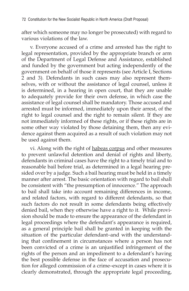after which someone may no longer be prosecuted) with regard to various violations of the law.

v. Everyone accused of a crime and arrested has the right to legal representation, provided by the appropriate branch or arm of the Department of Legal Defense and Assistance, established and funded by the government but acting independently of the government on behalf of those it represents (see Article I, Sections 2 and 3). Defendants in such cases may also represent themselves, with or without the assistance of legal counsel, unless it is determined, in a hearing in open court, that they are unable to adequately provide for their own defense, in which case the assistance of legal counsel shall be mandatory. Those accused and arrested must be informed, immediately upon their arrest, of the right to legal counsel and the right to remain silent. If they are not immediately informed of these rights, or if these rights are in some other way violated by those detaining them, then any evidence against them acquired as a result of such violation may not be used against them.

vi. Along with the right of habeas corpus and other measures to prevent unlawful detention and denial of rights and liberty, defendants in criminal cases have the right to a timely trial and to reasonable bail before trial, as determined in a legal hearing presided over by a judge. Such a bail hearing must be held in a timely manner after arrest. The basic orientation with regard to bail shall be consistent with "the presumption of innocence." The approach to bail shall take into account remaining differences in income, and related factors, with regard to different defendants, so that such factors do not result in some defendants being effectively denied bail, when they otherwise have a right to it. While provision should be made to ensure the appearance of the defendant in legal proceedings where the defendant's appearance is required, as a general principle bail shall be granted in keeping with the situation of the particular defendant–and with the understanding that confinement in circumstances where a person has not been convicted of a crime is an unjustified infringement of the rights of the person and an impediment to a defendant's having the best possible defense in the face of accusation and prosecution for alleged commission of a crime–except in cases where it is clearly demonstrated, through the appropriate legal proceeding,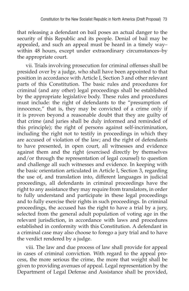that releasing a defendant on bail poses an actual danger to the security of this Republic and its people. Denial of bail may be appealed, and such an appeal must be heard in a timely way– within 48 hours, except under extraordinary circumstances–by the appropriate court.

vii. Trials involving prosecution for criminal offenses shall be presided over by a judge, who shall have been appointed to that position in accordance with Article I, Section 3 and other relevant parts of this Constitution. The basic rules and procedures for criminal (and any other) legal proceedings shall be established by the appropriate legislative body. These rules and procedures must include: the right of defendants to the "presumption of innocence," that is, they may be convicted of a crime only if it is proven beyond a reasonable doubt that they are guilty of that crime (and juries shall be duly informed and reminded of this principle); the right of persons against self-incrimination, including the right not to testify in proceedings in which they are accused of violation of the law; and the right of defendants to have presented, in open court, all witnesses and evidence against them and the right (exercised directly by themselves and/or through the representation of legal counsel) to question and challenge all such witnesses and evidence. In keeping with the basic orientation articulated in Article I, Section 3, regarding the use of, and translation into, different languages in judicial proceedings, all defendants in criminal proceedings have the right to any assistance they may require from translators, in order to fully understand and participate in these legal proceedings and to fully exercise their rights in such proceedings. In criminal proceedings, the accused has the right to have a trial by a jury, selected from the general adult population of voting age in the relevant jurisdiction, in accordance with laws and procedures established in conformity with this Constitution. A defendant in a criminal case may also choose to forego a jury trial and to have the verdict rendered by a judge.

viii. The law and due process of law shall provide for appeal in cases of criminal conviction. With regard to the appeal process, the more serious the crime, the more that weight shall be given to providing avenues of appeal. Legal representation by the Department of Legal Defense and Assistance shall be provided,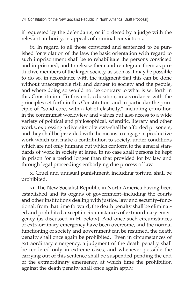if requested by the defendants, or if ordered by a judge with the relevant authority, in appeals of criminal convictions.

ix. In regard to all those convicted and sentenced to be punished for violation of the law, the basic orientation with regard to such imprisonment shall be to rehabilitate the persons convicted and imprisoned, and to release them and reintegrate them as productive members of the larger society, as soon as it may be possible to do so, in accordance with the judgment that this can be done without unacceptable risk and danger to society and the people, and where doing so would not be contrary to what is set forth in this Constitution. To this end, education, in accordance with the principles set forth in this Constitution–and in particular the principle of "solid core, with a lot of elasticity," including education in the communist worldview and values but also access to a wide variety of political and philosophical, scientific, literary and other works, expressing a diversity of views–shall be afforded prisoners, and they shall be provided with the means to engage in productive work which can make a contribution to society, under conditions which are not only humane but which conform to the general standards of work in society at large. In no case shall persons be kept in prison for a period longer than that provided for by law and through legal proceedings embodying due process of law.

x. Cruel and unusual punishment, including torture, shall be prohibited.

xi. The New Socialist Republic in North America having been established and its organs of government–including the courts and other institutions dealing with justice, law and security–functional: from that time forward, the death penalty shall be eliminated and prohibited, except in circumstances of extraordinary emergency (as discussed in H, below). And once such circumstances of extraordinary emergency have been overcome, and the normal functioning of society and government can be resumed, the death penalty shall once again be prohibited. Even in circumstances of extraordinary emergency, a judgment of the death penalty shall be rendered only in extreme cases, and whenever possible the carrying out of this sentence shall be suspended pending the end of the extraordinary emergency, at which time the prohibition against the death penalty shall once again apply.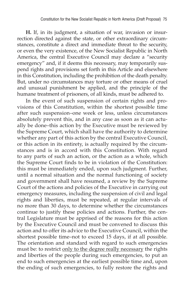**H.** If, in its judgment, a situation of war, invasion or insurrection directed against the state, or other extraordinary circumstances, constitute a direct and immediate threat to the security, or even the very existence, of the New Socialist Republic in North America, the central Executive Council may declare a "security emergency" and, if it deems this necessary, may temporarily suspend rights and provisions set forth in this Article and elsewhere in this Constitution, including the prohibition of the death penalty. But, under no circumstances may torture or other means of cruel and unusual punishment be applied, and the principle of the humane treatment of prisoners, of all kinds, must be adhered to.

In the event of such suspension of certain rights and provisions of this Constitution, within the shortest possible time after such suspension–one week or less, unless circumstances absolutely prevent this, and in any case as soon as it can actually be done–this action by the Executive must be reviewed by the Supreme Court, which shall have the authority to determine whether any part of this action by the central Executive Council, or this action in its entirety, is actually required by the circumstances and is in accord with this Constitution. With regard to any parts of such an action, or the action as a whole, which the Supreme Court finds to be in violation of the Constitution: this must be immediately ended, upon such judgment. Further, until a normal situation and the normal functioning of society and government shall have resumed, a review by the Supreme Court of the actions and policies of the Executive in carrying out emergency measures, including the suspension of civil and legal rights and liberties, must be repeated, at regular intervals of no more than 30 days, to determine whether the circumstances continue to justify these policies and actions. Further, the central Legislature must be apprised of the reasons for this action by the Executive Council and must be convened to discuss this action and to offer its advice to the Executive Council, within the shortest possible time–not to exceed 15 days, if at all possible. The orientation and standard with regard to such emergencies must be: to restrict only to the degree really necessary the rights and liberties of the people during such emergencies, to put an end to such emergencies at the earliest possible time and, upon the ending of such emergencies, to fully restore the rights and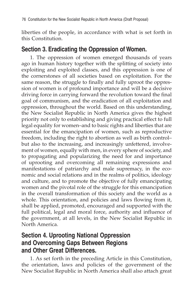liberties of the people, in accordance with what is set forth in this Constitution.

#### **Section 3. Eradicating the Oppression of Women.**

1. The oppression of women emerged thousands of years ago in human history together with the splitting of society into exploiting and exploited classes, and this oppression is one of the cornerstones of all societies based on exploitation. For the same reason, the struggle to finally and fully uproot the oppression of women is of profound importance and will be a decisive driving force in carrying forward the revolution toward the final goal of communism, and the eradication of all exploitation and oppression, throughout the world. Based on this understanding, the New Socialist Republic in North America gives the highest priority not only to establishing and giving practical effect to full legal equality for women–and to basic rights and liberties that are essential for the emancipation of women, such as reproductive freedom, including the right to abortion as well as birth control– but also to the increasing, and increasingly unfettered, involvement of women, equally with men, in every sphere of society, and to propagating and popularizing the need for and importance of uprooting and overcoming all remaining expressions and manifestations of patriarchy and male supremacy, in the economic and social relations and in the realms of politics, ideology and culture, and to promote the objective of fully emancipating women and the pivotal role of the struggle for this emancipation in the overall transformation of this society and the world as a whole. This orientation, and policies and laws flowing from it, shall be applied, promoted, encouraged and supported with the full political, legal and moral force, authority and influence of the government, at all levels, in the New Socialist Republic in North America.

#### **Section 4. Uprooting National Oppression and Overcoming Gaps Between Regions and Other Great Differences.**

1. As set forth in the preceding Article in this Constitution, the orientation, laws and policies of the government of the New Socialist Republic in North America shall also attach great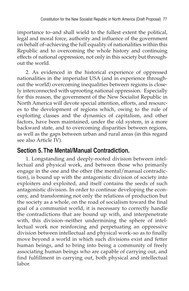importance to–and shall wield to the fullest extent the political, legal and moral force, authority and influence of the government on behalf of–achieving the full equality of nationalities within this Republic and to overcoming the whole history and continuing effects of national oppression, not only in this society but throughout the world.

2. As evidenced in the historical experience of oppressed nationalities in the imperialist USA (and in experience throughout the world) overcoming inequalities between regions is closely interconnected with uprooting national oppression. Especially for this reason, the government of the New Socialist Republic in North America will devote special attention, efforts, and resources to the development of regions which, owing to the rule of exploiting classes and the dynamics of capitalism, and other factors, have been maintained, under the old system, in a more backward state, and to overcoming disparities between regions, as well as the gaps between urban and rural areas (in this regard see also Article IV).

#### **Section 5. The Mental/Manual Contradiction.**

1. Longstanding and deeply-rooted division between intellectual and physical work, and between those who primarily engage in the one and the other (the mental/manual contradiction), is bound up with the antagonistic division of society into exploiters and exploited, and itself contains the seeds of such antagonistic division. In order to continue developing the economy, and transforming not only the relations of production but the society as a whole, on the road of socialism toward the final goal of a communist world, it is necessary to correctly handle the contradictions that are bound up with, and interpenetrate with, this division–neither undermining the sphere of intellectual work nor reinforcing and perpetuating an oppressive division between intellectual and physical work–so as to finally move beyond a world in which such divisions exist and fetter human beings, and to bring into being a community of freely associating human beings who are capable of carrying out, and find fulfillment in carrying out, both physical and intellectual labor.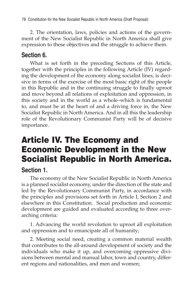2. The orientation, laws, policies and actions of the government of the New Socialist Republic in North America shall give expression to these objectives and the struggle to achieve them.

#### **Section 6.**

What is set forth in the preceding Sections of this Article, together with the principles in the following Article (IV) regarding the development of the economy along socialist lines, is decisive in terms of the exercise of the most basic right of the people in this Republic and in the continuing struggle to finally uproot and move beyond all relations of exploitation and oppression, in this society and in the world as a whole–which is fundamental to, and must be at the heart of and a driving force in, the New Socialist Republic in North America. And in all this the leadership role of the Revolutionary Communist Party will be of decisive importance.

# Article IV. The Economy and Economic Development in the New Socialist Republic in North America.

### **Section 1.**

The economy of the New Socialist Republic in North America is a planned socialist economy, under the direction of the state and led by the Revolutionary Communist Party, in accordance with the principles and provisions set forth in Article I, Section 2 and elsewhere in this Constitution. Social production and economic development are guided and evaluated according to three overarching criteria:

1. Advancing the world revolution to uproot all exploitation and oppression and to emancipate all of humanity;

2. Meeting social need, creating a common material wealth that contributes to the all-around development of society and the individuals who make it up, and overcoming oppressive divisions between mental and manual labor, town and country, different regions and nationalities, and men and women;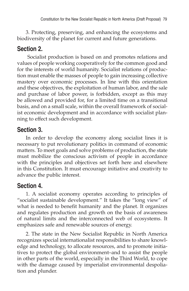3. Protecting, preserving, and enhancing the ecosystems and biodiversity of the planet for current and future generations.

### **Section 2.**

 Socialist production is based on and promotes relations and values of people working cooperatively for the common good and for the interests of world humanity. Socialist relations of production must enable the masses of people to gain increasing collective mastery over economic processes. In line with this orientation and these objectives, the exploitation of human labor, and the sale and purchase of labor power, is forbidden, except as this may be allowed and provided for, for a limited time on a transitional basis, and on a small scale, within the overall framework of socialist economic development and in accordance with socialist planning to effect such development.

### **Section 3.**

In order to develop the economy along socialist lines it is necessary to put revolutionary politics in command of economic matters. To meet goals and solve problems of production, the state must mobilize the conscious activism of people in accordance with the principles and objectives set forth here and elsewhere in this Constitution. It must encourage initiative and creativity to advance the public interest.

### **Section 4.**

1. A socialist economy operates according to principles of "socialist sustainable development." It takes the "long view" of what is needed to benefit humanity and the planet. It organizes and regulates production and growth on the basis of awareness of natural limits and the interconnected web of ecosystems. It emphasizes safe and renewable sources of energy.

2. The state in the New Socialist Republic in North America recognizes special internationalist responsibilities to share knowledge and technology, to allocate resources, and to promote initiatives to protect the global environment–and to assist the people in other parts of the world, especially in the Third World, to cope with the damage caused by imperialist environmental despoliation and plunder.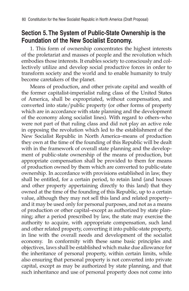#### **Section 5. The System of Public-State Ownership is the Foundation of the New Socialist Economy.**

1. This form of ownership concentrates the highest interests of the proletariat and masses of people and the revolution which embodies those interests. It enables society to consciously and collectively utilize and develop social productive forces in order to transform society and the world and to enable humanity to truly become caretakers of the planet.

Means of production, and other private capital and wealth of the former capitalist-imperialist ruling class of the United States of America, shall be expropriated, without compensation, and converted into state/public property (or other forms of property which are in accordance with state planning and the development of the economy along socialist lines). With regard to others–who were not part of that ruling class and did not play an active role in opposing the revolution which led to the establishment of the New Socialist Republic in North America–means of production they own at the time of the founding of this Republic will be dealt with in the framework of overall state planning and the development of public-state ownership of the means of production, but appropriate compensation shall be provided to them for means of production owned by them which are converted to public-state ownership. In accordance with provisions established in law, they shall be entitled, for a certain period, to retain land (and houses and other property appertaining directly to this land) that they owned at the time of the founding of this Republic, up to a certain value, although they may not sell this land and related property– and it may be used only for personal purposes, and not as a means of production or other capital–except as authorized by state planning; after a period prescribed by law, the state may exercise the authority to acquire, with appropriate compensation, such land and other related property, converting it into public-state property, in line with the overall needs and development of the socialist economy. In conformity with these same basic principles and objectives, laws shall be established which make due allowance for the inheritance of personal property, within certain limits, while also ensuring that personal property is not converted into private capital, except as may be authorized by state planning, and that such inheritance and use of personal property does not come into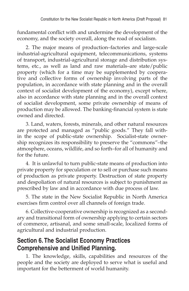fundamental conflict with and undermine the development of the economy, and the society overall, along the road of socialism.

2. The major means of production–factories and large-scale industrial-agricultural equipment, telecommunications, systems of transport, industrial-agricultural storage and distribution systems, etc., as well as land and raw materials–are state/public property (which for a time may be supplemented by cooperative and collective forms of ownership involving parts of the population, in accordance with state planning and in the overall context of socialist development of the economy), except where, also in accordance with state planning and in the overall context of socialist development, some private ownership of means of production may be allowed. The banking-financial system is state owned and directed.

3. Land, waters, forests, minerals, and other natural resources are protected and managed as "public goods." They fall within the scope of public-state ownership. Socialist-state ownership recognizes its responsibility to preserve the "commons"–the atmosphere, oceans, wildlife, and so forth–for all of humanity and for the future.

4. It is unlawful to turn public-state means of production into private property for speculation or to sell or purchase such means of production as private property. Destruction of state property and despoliation of natural resources is subject to punishment as prescribed by law and in accordance with due process of law.

5. The state in the New Socialist Republic in North America exercises firm control over all channels of foreign trade.

6. Collective-cooperative ownership is recognized as a secondary and transitional form of ownership applying to certain sectors of commerce, artisanal, and some small-scale, localized forms of agricultural and industrial production.

### **Section 6. The Socialist Economy Practices Comprehensive and Unified Planning.**

1. The knowledge, skills, capabilities and resources of the people and the society are deployed to serve what is useful and important for the betterment of world humanity.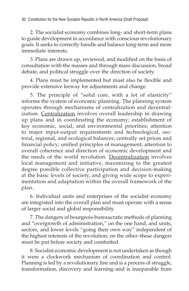2. The socialist economy combines long- and short-term plans to guide development in accordance with conscious revolutionary goals. It seeks to correctly handle and balance long-term and more immediate interests.

3. Plans are drawn up, reviewed, and modified on the basis of consultation with the masses and through mass discussion, broad debate, and political struggle over the direction of society.

4. Plans must be implemented but must also be flexible and provide extensive leeway for adjustments and change.

5. The principle of "solid core, with a lot of elasticity" informs the system of economic planning. The planning system operates through mechanisms of centralization and decentralization. Centralization involves overall leadership in drawing up plans and in coordinating the economy; establishment of key economic, social, and environmental priorities; attention to major input-output requirements and technological, sectoral, regional, and ecological balances; centrally set prices and financial policy; unified principles of management; attention to overall coherence and direction of economic development and the needs of the world revolution. Decentralization involves local management and initiative, maximizing to the greatest degree possible collective participation and decision-making at the basic levels of society, and giving wide scope to experimentation and adaptation within the overall framework of the plan.

6. Individual units and enterprises of the socialist economy are integrated into the overall plan and must operate with a sense of larger social and global responsibility.

7. The dangers of bourgeois-bureaucratic methods of planning and "overgrowth of administration," on the one hand, and units, sectors, and lower levels "going their own way" independent of the highest interests of the revolution, on the other–these dangers must be put before society and combatted.

8. Socialist economic development is not undertaken as though it were a clockwork mechanism of coordination and control. Planning is led by a revolutionary line and is a process of struggle, transformation, discovery and learning–and is inseparable from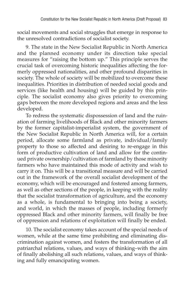social movements and social struggles that emerge in response to the unresolved contradictions of socialist society.

9. The state in the New Socialist Republic in North America and the planned economy under its direction take special measures for "raising the bottom up." This principle serves the crucial task of overcoming historic inequalities affecting the formerly oppressed nationalities, and other profound disparities in society. The whole of society will be mobilized to overcome these inequalities. Priorities in distribution of needed social goods and services (like health and housing) will be guided by this principle. The socialist economy also gives priority to overcoming gaps between the more developed regions and areas and the less developed.

To redress the systematic dispossession of land and the ruination of farming livelihoods of Black and other minority farmers by the former capitalist-imperialist system, the government of the New Socialist Republic in North America will, for a certain period, allocate some farmland as private, individual/family property to those so affected and desiring to re-engage in this form of productive cultivation of land and allow for the continued private ownership/cultivation of farmland by those minority farmers who have maintained this mode of activity and wish to carry it on. This will be a transitional measure and will be carried out in the framework of the overall socialist development of the economy, which will be encouraged and fostered among farmers, as well as other sections of the people, in keeping with the reality that the socialist transformation of agriculture, and the economy as a whole, is fundamental to bringing into being a society, and world, in which the masses of people, including formerly oppressed Black and other minority farmers, will finally be free of oppression and relations of exploitation will finally be ended.

10. The socialist economy takes account of the special needs of women, while at the same time prohibiting and eliminating discrimination against women, and fosters the transformation of all patriarchal relations, values, and ways of thinking–with the aim of finally abolishing all such relations, values, and ways of thinking and fully emancipating women.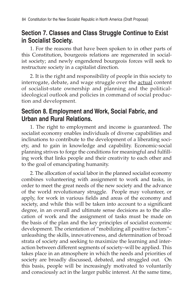### **Section 7. Classes and Class Struggle Continue to Exist in Socialist Society.**

1. For the reasons that have been spoken to in other parts of this Constitution, bourgeois relations are regenerated in socialist society; and newly engendered bourgeois forces will seek to restructure society in a capitalist direction.

2. It is the right and responsibility of people in this society to interrogate, debate, and wage struggle over the actual content of socialist-state ownership and planning and the politicalideological outlook and policies in command of social production and development.

### **Section 8. Employment and Work, Social Fabric, and Urban and Rural Relations.**

1. The right to employment and income is guaranteed. The socialist economy enables individuals of diverse capabilities and inclinations to contribute to the development of a liberating society, and to gain in knowledge and capability. Economic-social planning strives to forge the conditions for meaningful and fulfilling work that links people and their creativity to each other and to the goal of emancipating humanity.

2. The allocation of social labor in the planned socialist economy combines volunteering with assignment to work and tasks, in order to meet the great needs of the new society and the advance of the world revolutionary struggle. People may volunteer, or apply, for work in various fields and areas of the economy and society, and while this will be taken into account to a significant degree, in an overall and ultimate sense decisions as to the allocation of work and the assignment of tasks must be made on the basis of the plan and the key principles of socialist economic development. The orientation of "mobilizing all positive factors"– unleashing the skills, innovativeness, and determination of broad strata of society and seeking to maximize the learning and interaction between different segments of society–will be applied. This takes place in an atmosphere in which the needs and priorities of society are broadly discussed, debated, and struggled out. On this basis, people will be increasingly motivated to voluntarily and consciously act in the larger public interest. At the same time,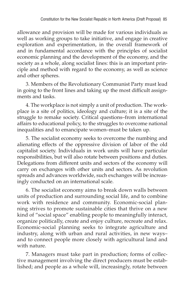allowance and provision will be made for various individuals as well as working groups to take initiative, and engage in creative exploration and experimentation, in the overall framework of and in fundamental accordance with the principles of socialist economic planning and the development of the economy, and the society as a whole, along socialist lines: this is an important principle and method with regard to the economy, as well as science and other spheres.

3. Members of the Revolutionary Communist Party must lead in going to the front lines and taking up the most difficult assignments and tasks.

4. The workplace is not simply a unit of production. The workplace is a site of politics, ideology and culture; it is a site of the struggle to remake society. Critical questions–from international affairs to educational policy, to the struggles to overcome national inequalities and to emancipate women–must be taken up.

5. The socialist economy seeks to overcome the numbing and alienating effects of the oppressive division of labor of the old capitalist society. Individuals in work units will have particular responsibilities, but will also rotate between positions and duties. Delegations from different units and sectors of the economy will carry on exchanges with other units and sectors. As revolution spreads and advances worldwide, such exchanges will be increasingly conducted on an international scale.

6. The socialist economy aims to break down walls between units of production and surrounding social life, and to combine work with residence and community. Economic-social planning strives to promote sustainable cities that thrive on a new kind of "social space" enabling people to meaningfully interact, organize politically, create and enjoy culture, recreate and relax. Economic-social planning seeks to integrate agriculture and industry, along with urban and rural activities, in new ways– and to connect people more closely with agricultural land and with nature.

7. Managers must take part in production; forms of collective management involving the direct producers must be established; and people as a whole will, increasingly, rotate between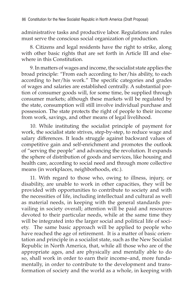administrative tasks and productive labor. Regulations and rules must serve the conscious social organization of production.

8. Citizens and legal residents have the right to strike, along with other basic rights that are set forth in Article III and elsewhere in this Constitution.

9. In matters of wages and income, the socialist state applies the broad principle: "From each according to her/his ability, to each according to her/his work." The specific categories and grades of wages and salaries are established centrally. A substantial portion of consumer goods will, for some time, be supplied through consumer markets; although these markets will be regulated by the state, consumption will still involve individual purchase and possession. The state protects the right of people to their income from work, savings, and other means of legal livelihood.

10. While instituting the socialist principle of payment for work, the socialist state strives, step-by-step, to reduce wage and salary differences. It leads struggle against backward values of competitive gain and self-enrichment and promotes the outlook of "serving the people" and advancing the revolution. It expands the sphere of distribution of goods and services, like housing and health care, according to social need and through more collective means (in workplaces, neighborhoods, etc.).

11. With regard to those who, owing to illness, injury, or disability, are unable to work in other capacities, they will be provided with opportunities to contribute to society and with the necessities of life, including intellectual and cultural as well as material needs, in keeping with the general standards prevailing in society overall; attention will be paid and resources devoted to their particular needs, while at the same time they will be integrated into the larger social and political life of society. The same basic approach will be applied to people who have reached the age of retirement. It is a matter of basic orientation and principle in a socialist state, such as the New Socialist Republic in North America, that, while all those who are of the appropriate ages, and are physically and mentally able to do so, shall work in order to earn their income–and, more fundamentally, in order to contribute to the development and transformation of society and the world as a whole, in keeping with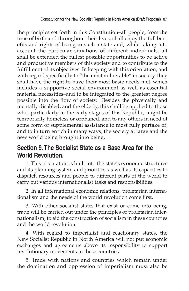the principles set forth in this Constitution–all people, from the time of birth and throughout their lives, shall enjoy the full benefits and rights of living in such a state and, while taking into account the particular situations of different individuals, all shall be extended the fullest possible opportunities to be active and productive members of this society and to contribute to the fulfillment of its objectives. In keeping with this orientation, and with regard specifically to "the most vulnerable" in society, they shall have the right to have their most basic needs met–which includes a supportive social environment as well as essential material necessities–and to be integrated to the greatest degree possible into the flow of society. Besides the physically and mentally disabled, and the elderly, this shall be applied to those who, particularly in the early stages of this Republic, might be temporarily homeless or orphaned, and to any others in need of some form of supplemental assistance to most fully partake of, and to in turn enrich in many ways, the society at large and the new world being brought into being.

#### **Section 9. The Socialist State as a Base Area for the World Revolution.**

1. This orientation is built into the state's economic structures and its planning system and priorities, as well as its capacities to dispatch resources and people to different parts of the world to carry out various internationalist tasks and responsibilities.

2. In all international economic relations, proletarian internationalism and the needs of the world revolution come first.

3. With other socialist states that exist or come into being, trade will be carried out under the principles of proletarian internationalism, to aid the construction of socialism in these countries and the world revolution.

4. With regard to imperialist and reactionary states, the New Socialist Republic in North America will not put economic exchanges and agreements above its responsibility to support revolutionary movements in these countries.

5. Trade with nations and countries which remain under the domination and oppression of imperialism must also be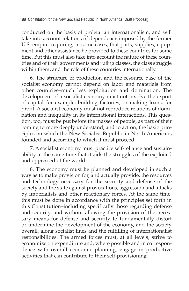conducted on the basis of proletarian internationalism, and will take into account relations of dependency imposed by the former U.S. empire–requiring, in some cases, that parts, supplies, equipment and other assistance be provided to these countries for some time. But this must also take into account the nature of these countries and of their governments and ruling classes, the class struggle within them, and the role of these countries internationally.

6. The structure of production and the resource base of the socialist economy cannot depend on labor and materials from other countries–much less exploitation and domination. The development of a socialist economy must not involve the export of capital–for example, building factories, or making loans, for profit. A socialist economy must not reproduce relations of domination and inequality in its international interactions. This question, too, must be put before the masses of people, as part of their coming to more deeply understand, and to act on, the basic principles on which the New Socialist Republic in North America is founded and according to which it must proceed.

7. A socialist economy must practice self-reliance and sustainability at the same time that it aids the struggles of the exploited and oppressed of the world.

8. The economy must be planned and developed in such a way as to make provision for, and actually provide, the resources and technology necessary for the security and defense of the society and the state against provocations, aggression and attacks by imperialists and other reactionary forces. At the same time, this must be done in accordance with the principles set forth in this Constitution–including specifically those regarding defense and security–and without allowing the provision of the necessary means for defense and security to fundamentally distort or undermine the development of the economy, and the society overall, along socialist lines and the fulfilling of internationalist responsibilities. The armed forces must, at all levels, strive to economize on expenditure and, where possible and in correspondence with overall economic planning, engage in productive activities that can contribute to their self-provisioning.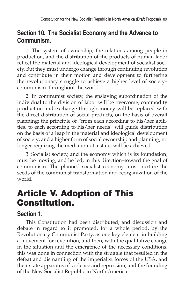### **Section 10. The Socialist Economy and the Advance to Communism.**

1. The system of ownership, the relations among people in production, and the distribution of the products of human labor reflect the material and ideological development of socialist society. But they must undergo change through continuing revolution and contribute in their motion and development to furthering the revolutionary struggle to achieve a higher level of society– communism–throughout the world.

2. In communist society, the enslaving subordination of the individual to the division of labor will be overcome; commodity production and exchange through money will be replaced with the direct distribution of social products, on the basis of overall planning; the principle of "from each according to his/her abilities, to each according to his/her needs" will guide distribution on the basis of a leap in the material and ideological development of society; and a higher form of social ownership and planning, no longer requiring the mediation of a state, will be achieved.

3. Socialist society, and the economy which is its foundation, must be moving, and be led, in this direction–toward the goal of communism. The planned socialist economy must nurture the seeds of the communist transformation and reorganization of the world.

# Article V. Adoption of This Constitution.

#### **Section 1.**

This Constitution had been distributed, and discussion and debate in regard to it promoted, for a whole period, by the Revolutionary Communist Party, as one key element in building a movement for revolution; and then, with the qualitative change in the situation and the emergence of the necessary conditions, this was done in connection with the struggle that resulted in the defeat and dismantling of the imperialist forces of the USA, and their state apparatus of violence and repression, and the founding of the New Socialist Republic in North America.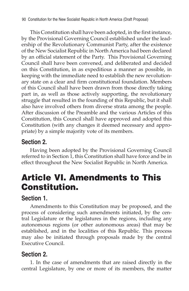90 Constitution for the New Socialist Republic in North America (Draft Proposal)

This Constitution shall have been adopted, in the first instance, by the Provisional Governing Council established under the leadership of the Revolutionary Communist Party, after the existence of the New Socialist Republic in North America had been declared by an official statement of the Party. This Provisional Governing Council shall have been convened, and deliberated and decided on this Constitution, in as expeditious a manner as possible, in keeping with the immediate need to establish the new revolutionary state on a clear and firm constitutional foundation. Members of this Council shall have been drawn from those directly taking part in, as well as those actively supporting, the revolutionary struggle that resulted in the founding of this Republic, but it shall also have involved others from diverse strata among the people. After discussion of the Preamble and the various Articles of this Constitution, this Council shall have approved and adopted this Constitution (with any changes it deemed necessary and appropriate) by a simple majority vote of its members.

### **Section 2.**

Having been adopted by the Provisional Governing Council referred to in Section 1, this Constitution shall have force and be in effect throughout the New Socialist Republic in North America.

## Article VI. Amendments to This Constitution.

### **Section 1.**

Amendments to this Constitution may be proposed, and the process of considering such amendments initiated, by the central Legislature or the legislatures in the regions, including any autonomous regions (or other autonomous areas) that may be established, and in the localities of this Republic. This process may also be initiated through proposals made by the central Executive Council.

## **Section 2.**

1. In the case of amendments that are raised directly in the central Legislature, by one or more of its members, the matter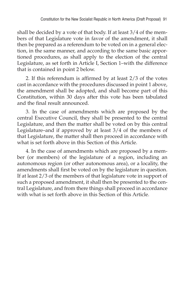shall be decided by a vote of that body. If at least 3/4 of the members of that Legislature vote in favor of the amendment, it shall then be prepared as a referendum to be voted on in a general election, in the same manner, and according to the same basic apportioned procedures, as shall apply to the election of the central Legislature, as set forth in Article I, Section 1–with the difference that is contained in point 2 below.

2. If this referendum is affirmed by at least 2/3 of the votes cast in accordance with the procedures discussed in point 1 above, the amendment shall be adopted, and shall become part of this Constitution, within 30 days after this vote has been tabulated and the final result announced.

3. In the case of amendments which are proposed by the central Executive Council, they shall be presented to the central Legislature, and then the matter shall be voted on by this central Legislature–and if approved by at least 3/4 of the members of that Legislature, the matter shall then proceed in accordance with what is set forth above in this Section of this Article.

4. In the case of amendments which are proposed by a member (or members) of the legislature of a region, including an autonomous region (or other autonomous area), or a locality, the amendments shall first be voted on by the legislature in question. If at least 2/3 of the members of that legislature vote in support of such a proposed amendment, it shall then be presented to the central Legislature, and from there things shall proceed in accordance with what is set forth above in this Section of this Article.